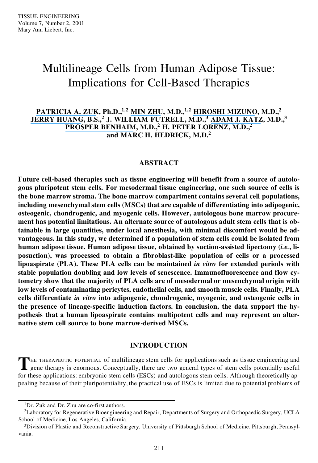# Multilineage Cells from Human Adipose Tissue: Implications for Cell-Based Therapies

## **[PATRICIA A. ZUK](https://www.researchgate.net/profile/Patricia_Zuk?el=1_x_100&enrichId=rgreq-e88b3d7ba40d5fa974991c49436e687c-XXX&enrichSource=Y292ZXJQYWdlOzEyMDMwODM1O0FTOjEwMjU5OTMxMTIzMzAyN0AxNDAxNDcyOTkwMzY4), Ph.D.,1,2 [MIN ZHU](https://www.researchgate.net/profile/Min_Zhu15?el=1_x_100&enrichId=rgreq-e88b3d7ba40d5fa974991c49436e687c-XXX&enrichSource=Y292ZXJQYWdlOzEyMDMwODM1O0FTOjEwMjU5OTMxMTIzMzAyN0AxNDAxNDcyOTkwMzY4), M.D.,1,2 [HIROSHI MIZUNO](https://www.researchgate.net/profile/Hiroshi_Mizuno?el=1_x_100&enrichId=rgreq-e88b3d7ba40d5fa974991c49436e687c-XXX&enrichSource=Y292ZXJQYWdlOzEyMDMwODM1O0FTOjEwMjU5OTMxMTIzMzAyN0AxNDAxNDcyOTkwMzY4), M.D.,<sup>2</sup> [JERRY HUANG](https://www.researchgate.net/profile/Jerry_Huang?el=1_x_100&enrichId=rgreq-e88b3d7ba40d5fa974991c49436e687c-XXX&enrichSource=Y292ZXJQYWdlOzEyMDMwODM1O0FTOjEwMjU5OTMxMTIzMzAyN0AxNDAxNDcyOTkwMzY4), B.S.,<sup>2</sup> J. WILLIAM FUTRELL, M.D.,<sup>3</sup> [ADAM J. KATZ](https://www.researchgate.net/profile/Adam_Katz2?el=1_x_100&enrichId=rgreq-e88b3d7ba40d5fa974991c49436e687c-XXX&enrichSource=Y292ZXJQYWdlOzEyMDMwODM1O0FTOjEwMjU5OTMxMTIzMzAyN0AxNDAxNDcyOTkwMzY4), M.D.,<sup>3</sup> [PROSPER BENHAIM](https://www.researchgate.net/profile/Prosper_Benhaim?el=1_x_100&enrichId=rgreq-e88b3d7ba40d5fa974991c49436e687c-XXX&enrichSource=Y292ZXJQYWdlOzEyMDMwODM1O0FTOjEwMjU5OTMxMTIzMzAyN0AxNDAxNDcyOTkwMzY4), M.D.,<sup>2</sup> H. PETER LORENZ, M.D.,<sup>2</sup> and MARC H. HEDRICK, M.D.<sup>2</sup>**

## **ABSTRACT**

**Future cell-based therapies such as tissue engineering will benefit from a source of autologous pluripotent stem cells. For mesodermal tissue engineering, one such source of cells is the bone marrow stroma. The bone marrow compartment contains several cell populations, including mesenchymal stem cells (MSCs) that are capable of differentiating into adipogenic, osteogenic, chondrogenic, and myogenic cells. However, autologous bone marrow procurement has potential limitations. An alternate source of autologous adult stem cells that is obtainable in large quantities, under local anesthesia, with minimal discomfort would be advantageous. In this study, we determined if a population of stem cells could be isolated from human adipose tissue. Human adipose tissue, obtained by suction-assisted lipectomy (***i.e.***, liposuction), was processed to obtain a fibroblast-like population of cells or a processed lipoaspirate (PLA). These PLA cells can be maintained** *in vitro* **for extended periods with stable population doubling and low levels of senescence. Immunofluorescence and flow cytometry show that the majority of PLA cells are of mesodermal or mesenchymal origin with low levels of contaminating pericytes, endothelial cells, and smooth muscle cells. Finally, PLA cells differentiate** *in vitro* **into adipogenic, chondrogenic, myogenic, and osteogenic cells in the presence of lineage-specific induction factors. In conclusion, the data support the hypothesis that a human lipoaspirate contains multipotent cells and may represent an alternative stem cell source to bone marrow-derived MSCs.**

## **INTRODUCTION**

THE THERAPEUTIC POTENTIAL of multilineage stem cells for applications such as tissue engineering and gene therapy is enormous. Conceptually, there are two general types of stem cells potentially useful **HE THERAPEUTIC POTENTIAL of multilineage stem cells for applications such as tissue engineering and** for these applications: embryonic stem cells (ESCs) and autologous stem cells. Although theoretically appealing because of their pluripotentiality, the practical use of ESCs is limited due to potential problems of

<sup>&</sup>lt;sup>1</sup>Dr. Zuk and Dr. Zhu are co-first authors.

<sup>2</sup>Laboratory for Regenerative Bioengineering and Repair, Departments of Surgery and Orthopaedic Surgery, UCLA School of Medicine, Los Angeles, California.

<sup>3</sup>Division of Plastic and Reconstructive Surgery, University of Pittsburgh School of Medicine, Pittsburgh, Pennsylvania.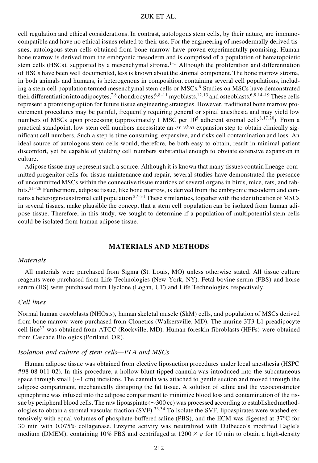cell regulation and ethical considerations. In contrast, autologous stem cells, by their nature, are immunocompatible and have no ethical issues related to their use. For the engineering of mesodermally derived tissues, autologous stem cells obtained from bone marrow have proven experimentally promising. Human bone marrow is derived from the embryonic mesoderm and is comprised of a population of hematopoietic stem cells (HSCs), supported by a mesenchymal stroma.<sup>1-5</sup> Although the proliferation and differentiation of HSCs have been well documented, less is known about the stromal component. The bone marrow stroma, in both animals and humans, is heterogenous in composition, containing several cell populations, including a stem cell population termed mesenchymal stem cells or MSCs.<sup>6</sup> Studies on MSCs have demonstrated their differentiation into adipocytes,<sup>7,8</sup> chondrocytes,<sup>6,8–11</sup> myoblasts,<sup>12,13</sup> and osteoblasts.<sup>6,8,14–19</sup> These cells represent a promising option for future tissue engineering strategies. However, traditional bone marrow procurement procedures may be painful, frequently requiring general or spinal anesthesia and may yield low numbers of MSCs upon processing (approximately 1 MSC per  $10^5$  adherent stromal cells<sup>8,17,20</sup>). From a practical standpoint, low stem cell numbers necessitate an *ex vivo* expansion step to obtain clinically significant cell numbers. Such a step is time consuming, expensive, and risks cell contamination and loss. An ideal source of autologous stem cells would, therefore, be both easy to obtain, result in minimal patient discomfort, yet be capable of yielding cell numbers substantial enough to obviate extensive expansion in culture.

Adipose tissue may represent such a source. Although it is known that many tissues contain lineage-committed progenitor cells for tissue maintenance and repair, several studies have demonstrated the presence of uncommitted MSCs within the connective tissue matrices of several organs in birds, mice, rats, and rabbits.<sup>21–26</sup> Furthermore, adipose tissue, like bone marrow, is derived from the embryonic mesoderm and contains a heterogenous stromal cell population.<sup>27–31</sup> These similarities, together with the identification of MSCs in several tissues, make plausible the concept that a stem cell population can be isolated from human adipose tissue. Therefore, in this study, we sought to determine if a population of multipotential stem cells could be isolated from human adipose tissue.

#### **MATERIALS AND METHODS**

#### *Materials*

All materials were purchased from Sigma (St. Louis, MO) unless otherwise stated. All tissue culture reagents were purchased from Life Technologies (New York, NY). Fetal bovine serum (FBS) and horse serum (HS) were purchased from Hyclone (Logan, UT) and Life Technologies, respectively.

## *Cell lines*

Normal human osteoblasts (NHOsts), human skeletal muscle (SkM) cells, and population of MSCs derived from bone marrow were purchased from Clonetics (Walkersville, MD). The murine 3T3-L1 preadipocyte cell line<sup>32</sup> was obtained from ATCC (Rockville, MD). Human foreskin fibroblasts (HFFs) were obtained from Cascade Biologics (Portland, OR).

#### *Isolation and culture of stem cells—PLA and MSCs*

Human adipose tissue was obtained from elective liposuction procedures under local anesthesia (HSPC #98-08 011-02). In this procedure, a hollow blunt-tipped cannula was introduced into the subcutaneous space through small ( $\sim$ 1 cm) incisions. The cannula was attached to gentle suction and moved through the adipose compartment, mechanically disrupting the fat tissue. A solution of saline and the vasoconstrictor epinephrine was infused into the adipose compartment to minimize blood loss and contamination of the tissue by peripheral blood cells. The raw lipoaspirate ( $\sim$ 300 cc) was processed according to established methodologies to obtain a stromal vascular fraction  $(SVF)$ .<sup>33,34</sup> To isolate the SVF, lipoaspirates were washed extensively with equal volumes of phosphate-buffered saline (PBS), and the ECM was digested at 37°C for 30 min with 0.075% collagenase. Enzyme activity was neutralized with Dulbecco's modified Eagle's medium (DMEM), containing 10% FBS and centrifuged at  $1200 \times g$  for 10 min to obtain a high-density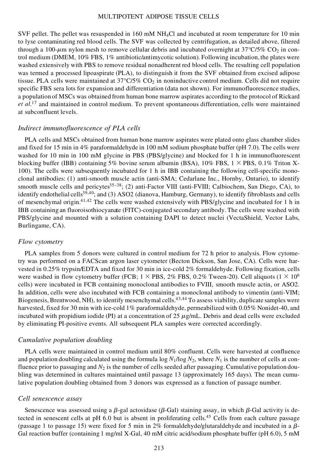SVF pellet. The pellet was resuspended in 160 mM NH<sub>4</sub>Cl and incubated at room temperature for 10 min to lyse contaminating red blood cells. The SVF was collected by centrifugation, as detailed above, filtered through a 100- $\mu$ m nylon mesh to remove cellular debris and incubated overnight at 37°C/5% CO<sub>2</sub> in control medium (DMEM, 10% FBS, 1% antibiotic/antimycotic solution). Following incubation, the plates were washed extensively with PBS to remove residual nonadherent red blood cells. The resulting cell population was termed a processed lipoaspirate (PLA), to distinguish it from the SVF obtained from excised adipose tissue. PLA cells were maintained at  $37^{\circ}C/5\%$  CO<sub>2</sub> in noninductive control medium. Cells did not require specific FBS sera lots for expansion and differentiation (data not shown). For immunofluorescence studies, a population of MSCs was obtained from human bone marrow aspirates according to the protocol of Rickard *et al*.<sup>17</sup> and maintained in control medium. To prevent spontaneous differentiation, cells were maintained at subconfluent levels.

#### *Indirect immunofluorescence of PLA cells*

PLA cells and MSCs obtained from human bone marrow aspirates were plated onto glass chamber slides and fixed for 15 min in 4% paraformaldehyde in 100 mM sodium phosphate buffer (pH 7.0). The cells were washed for 10 min in 100 mM glycine in PBS (PBS/glycine) and blocked for 1 h in immunofluorescent blocking buffer (IBB) containing 5% bovine serum albumin (BSA), 10% FBS,  $1 \times PBS$ , 0.1% Triton X-100). The cells were subsequently incubated for 1 h in IBB containing the following cell-specific monoclonal antibodies: (1) anti-smooth muscle actin (anti-SMA; Cedarlane Inc., Hornby, Ontario), to identify smooth muscle cells and pericytes $35-38$ ; (2) anti-Factor VIII (anti-FVIII; Calbiochem, San Diego, CA), to identify endothelial cells<sup>39,40</sup>; and (3) ASO2 (dianova, Hamburg, Germany), to identify fibroblasts and cells of mesenchymal origin.<sup>41,42</sup> The cells were washed extensively with PBS/glycine and incubated for 1 h in IBB containing an fluoroisothiocyanate (FITC)-conjugated secondary antibody. The cells were washed with PBS/glycine and mounted with a solution containing DAPI to detect nuclei (VectaShield, Vector Labs, Burlingame, CA).

#### *Flow cytometry*

PLA samples from 5 donors were cultured in control medium for 72 h prior to analysis. Flow cytometry was performed on a FACScan argon laser cytometer (Becton Dickson, San Jose, CA). Cells were harvested in 0.25% trypsin/EDTA and fixed for 30 min in ice-cold 2% formaldehyde. Following fixation, cells were washed in flow cytometry buffer (FCB;  $1 \times PBS$ ,  $2\%$  FBS, 0.2% Tween-20). Cell aliquots ( $1 \times 10^6$ cells) were incubated in FCB containing monoclonal antibodies to FVIII, smooth muscle actin, or ASO2. In addition, cells were also incubated with FCB containing a monoclonal antibody to vimentin (anti-VIM; Biogenesis, Brentwood, NH), to identify mesenchymal cells.43,44 To assess viability, duplicate samples were harvested, fixed for 30 min with ice-cold 1% paraformaldehyde, permeabilized with 0.05% Nonidet-40, and incubated with propidium iodide (PI) at a concentration of  $25 \mu g/mL$ . Debris and dead cells were excluded by eliminating PI-positive events. All subsequent PLA samples were corrected accordingly.

#### *Cumulative population doubling*

PLA cells were maintained in control medium until 80% confluent. Cells were harvested at confluence and population doubling calculated using the formula  $\log N_1/\log N_2$ , where  $N_1$  is the number of cells at confluence prior to passaging and  $N_2$  is the number of cells seeded after passaging. Cumulative population doubling was determined in cultures maintained until passage 13 (approximately 165 days). The mean cumulative population doubling obtained from 3 donors was expressed as a function of passage number.

#### *Cell senescence assay*

Senescence was assessed using a  $\beta$ -gal actosidase ( $\beta$ -Gal) staining assay, in which  $\beta$ -Gal activity is detected in senescent cells at pH 6.0 but is absent in proliferating cells.<sup>45</sup> Cells from each culture passage (passage 1 to passage 15) were fixed for 5 min in 2% formaldehyde/glutaraldehyde and incubated in a *b*- Gal reaction buffer (containing 1 mg/ml X-Gal, 40 mM citric acid/sodium phosphate buffer (pH 6.0), 5 mM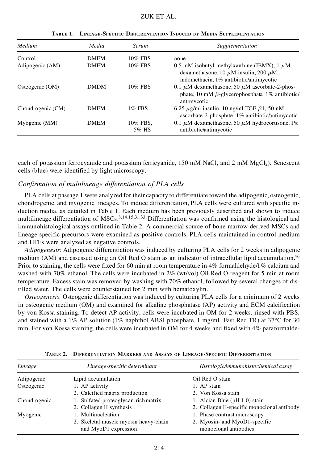| Medium            | Media       | Serum             | Supplementation                                                                                                                               |
|-------------------|-------------|-------------------|-----------------------------------------------------------------------------------------------------------------------------------------------|
| Control           | <b>DMEM</b> | 10% FBS           | none                                                                                                                                          |
| Adipogenic (AM)   | <b>DMEM</b> | 10% FBS           | 0.5 mM isobutyl-methylxanthine (IBMX), 1 $\mu$ M<br>dexamethasone, 10 $\mu$ M insulin, 200 $\mu$ M<br>indomethacin, 1% antibiotic/antimycotic |
| Osteogenic (OM)   | <b>DMDM</b> | 10% FBS           | 0.1 $\mu$ M dexamethasone, 50 $\mu$ M ascorbate-2-phos-<br>phate, 10 mM $\beta$ -glycerophosphate, 1% antibiotic/<br>antimycotic              |
| Chondrogenic (CM) | <b>DMEM</b> | $1\%$ FBS         | $6.25 \mu$ g/ml insulin, 10 ng/ml TGF- $\beta$ 1, 50 nM<br>ascorbate-2-phosphate, 1% antibiotic/antimycotic                                   |
| Myogenic (MM)     | <b>DMEM</b> | 10% FBS.<br>5% HS | 0.1 $\mu$ M dexamethasone, 50 $\mu$ M hydrocortisone, 1%<br>antibiotic/antimycotic                                                            |

**TABLE 1. LINEAGE-SPECIFIC DIFFERENTIATION INDUCED BY MEDIA SUPPLEMENTATION**

each of potassium ferrocyanide and potassium ferricyanide, 150 mM NaCl, and 2 mM  $MgCl<sub>2</sub>$ ). Senescent cells (blue) were identified by light microscopy.

#### *Confirmation of multilineage differentiation of PLA cells*

PLA cells at passage 1 were analyzed for their capacity to differentiate toward the adipogenic, osteogenic, chondrogenic, and myogenic lineages. To induce differentiation, PLA cells were cultured with specific induction media, as detailed in Table 1. Each medium has been previously described and shown to induce multilineage differentiation of MSCs.<sup>8,14,15,31,33</sup> Differentiation was confirmed using the histological and immunohistological assays outlined in Table 2. A commercial source of bone marrow-derived MSCs and lineage-specific precursors were examined as positive controls. PLA cells maintained in control medium and HFFs were analyzed as negative controls.

*Adipogenesis*: Adipogenic differentiation was induced by culturing PLA cells for 2 weeks in adipogenic medium (AM) and assessed using an Oil Red O stain as an indicator of intracellular lipid accumulation.<sup>46</sup> Prior to staining, the cells were fixed for 60 min at room temperature in 4% formaldehyde/1% calcium and washed with 70% ethanol. The cells were incubated in 2% (wt/vol) Oil Red O reagent for 5 min at room temperature. Excess stain was removed by washing with 70% ethanol, followed by several changes of distilled water. The cells were counterstained for 2 min with hematoxylin.

*Osteogenesis*: Osteogenic differentiation was induced by culturing PLA cells for a minimum of 2 weeks in osteogenic medium (OM) and examined for alkaline phosphatase (AP) activity and ECM calcification by von Kossa staining. To detect AP activity, cells were incubated in OM for 2 weeks, rinsed with PBS, and stained with a 1% AP solution (1% naphthol ABSI phosphate, 1 mg/mL Fast Red TR) at 37 $\degree$ C for 30 min. For von Kossa staining, the cells were incubated in OM for 4 weeks and fixed with 4% paraformalde-

| Lineage      | Lineage-specific determinant                                  | Histologic/immunohistochemical assay                   |  |
|--------------|---------------------------------------------------------------|--------------------------------------------------------|--|
| Adipogenic   | Lipid accumulation                                            | Oil Red O stain                                        |  |
| Osteogenic   | 1. AP activity                                                | 1. AP stain                                            |  |
|              | 2. Calcified matrix production                                | 2. Von Kossa stain                                     |  |
| Chondrogenic | 1. Sulfated proteoglycan-rich matrix                          | 1. Alcian Blue $(pH 1.0)$ stain                        |  |
|              | 2. Collagen II synthesis                                      | 2. Collagen II-specific monoclonal antibody            |  |
| Myogenic     | 1. Multinucleation                                            | 1. Phase contrast microscopy                           |  |
|              | 2. Skeletal muscle myosin heavy-chain<br>and MyoD1 expression | 2. Myosin- and MyoD1-specific<br>monoclonal antibodies |  |

**TABLE 2. DIFFERENTIATION MARKERS AND ASSAYS OF LINEAGE-SPECIFIC DIFFERENTIATION**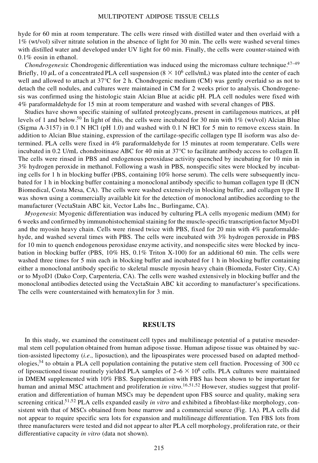hyde for 60 min at room temperature. The cells were rinsed with distilled water and then overlaid with a 1% (wt/vol) silver nitrate solution in the absence of light for 30 min. The cells were washed several times with distilled water and developed under UV light for 60 min. Finally, the cells were counter-stained with 0.1% eosin in ethanol.

*Chondrogenesis*: Chondrogenic differentiation was induced using the micromass culture technique.<sup>47–49</sup> Briefly, 10  $\mu$ L of a concentrated PLA cell suspension ( $8 \times 10^6$  cells/mL) was plated into the center of each well and allowed to attach at 37°C for 2 h. Chondrogenic medium (CM) was gently overlaid so as not to detach the cell nodules, and cultures were maintained in CM for 2 weeks prior to analysis. Chondrogenesis was confirmed using the histologic stain Alcian Blue at acidic pH. PLA cell nodules were fixed with 4% paraformaldehyde for 15 min at room temperature and washed with several changes of PBS.

Studies have shown specific staining of sulfated proteoglycans, present in cartilagenous matrices, at pH levels of 1 and below.<sup>50</sup> In light of this, the cells were incubated for 30 min with  $1\%$  (wt/vol) Alcian Blue (Sigma A-3157) in 0.1 N HCl (pH 1.0) and washed with 0.1 N HCl for 5 min to remove excess stain. In addition to Alcian Blue staining, expression of the cartilage-specific collagen type II isoform was also determined. PLA cells were fixed in 4% paraformaldehyde for 15 minutes at room temperature. Cells were incubated in 0.2 U/mL chondroitinase ABC for 40 min at 37°C to facilitate antibody access to collagen II. The cells were rinsed in PBS and endogenous peroxidase activity quenched by incubating for 10 min in 3% hydrogen peroxide in methanol. Following a wash in PBS, nonspecific sites were blocked by incubating cells for 1 h in blocking buffer (PBS, containing 10% horse serum). The cells were subsequently incubated for 1 h in blocking buffer containing a monoclonal antibody specific to human collagen type II (ICN Biomedical, Costa Mesa, CA). The cells were washed extensively in blocking buffer, and collagen type II was shown using a commercially available kit for the detection of monoclonal antibodies according to the manufacturer (VectaStain ABC kit, Vector Labs Inc., Burlingame, CA).

*Myogenesis*: Myogenic differentiation was induced by culturing PLA cells myogenic medium (MM) for 6 weeks and confirmed by immunohistochemical staining for the muscle-specific transcription factor MyoD1 and the myosin heavy chain. Cells were rinsed twice with PBS, fixed for 20 min with 4% paraformaldehyde, and washed several times with PBS. The cells were incubated with 3% hydrogen peroxide in PBS for 10 min to quench endogenous peroxidase enzyme activity, and nonspecific sites were blocked by incubation in blocking buffer (PBS, 10% HS, 0.1% Triton X-100) for an additional 60 min. The cells were washed three times for 5 min each in blocking buffer and incubated for 1 h in blocking buffer containing either a monoclonal antibody specific to skeletal muscle myosin heavy chain (Biomeda, Foster City, CA) or to MyoD1 (Dako Corp, Carpenteria, CA). The cells were washed extensively in blocking buffer and the monoclonal antibodies detected using the VectaStain ABC kit according to manufacturer's specifications. The cells were counterstained with hematoxylin for 3 min.

#### **RESULTS**

In this study, we examined the constituent cell types and multilineage potential of a putative mesodermal stem cell population obtained from human adipose tissue. Human adipose tissue was obtained by suction-assisted lipectomy (*i.e.*, liposuction), and the lipoaspirates were processed based on adapted methodologies,  $34$  to obtain a PLA cell population containing the putative stem cell fraction. Processing of 300 cc of liposuctioned tissue routinely yielded PLA samples of  $2-6 \times 10^8$  cells. PLA cultures were maintained in DMEM supplemented with 10% FBS. Supplementation with FBS has been shown to be important for human and animal MSC attachment and proliferation *in vitro*.16,51,52 However, studies suggest that proliferation and differentiation of human MSCs may be dependent upon FBS source and quality, making sera screening critical.51,52 PLA cells expanded easily *in vitro* and exhibited a fibroblast-like morphology, consistent with that of MSCs obtained from bone marrow and a commercial source (Fig. 1A). PLA cells did not appear to require specific sera lots for expansion and multilineage differentiation. Ten FBS lots from three manufacturers were tested and did not appear to alter PLA cell morphology, proliferation rate, or their differentiative capacity *in vitro* (data not shown).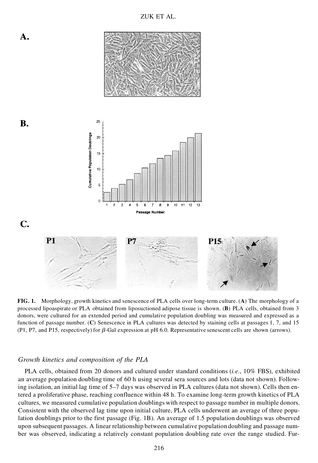

**FIG. 1.** Morphology, growth kinetics and senescence of PLA cells over long-term culture. (**A**) The morphology of a processed lipoaspirate or PLA obtained from liposuctioned adipose tissue is shown. (**B**) PLA cells, obtained from 3 donors, were cultured for an extended period and cumulative population doubling was measured and expressed as a function of passage number. (**C**) Senescence in PLA cultures was detected by staining cells at passages 1, 7, and 15 (P1, P7, and P15, respectively) for *b*-Gal expression at pH 6.0. Representative senescent cells are shown (arrows).

#### *Growth kinetics and composition of the PLA*

PLA cells, obtained from 20 donors and cultured under standard conditions (*i.e.*, 10% FBS), exhibited an average population doubling time of 60 h using several sera sources and lots (data not shown). Following isolation, an initial lag time of 5–7 days was observed in PLA cultures (data not shown). Cells then entered a proliferative phase, reaching confluence within 48 h. To examine long-term growth kinetics of PLA cultures, we measured cumulative population doublings with respect to passage number in multiple donors. Consistent with the observed lag time upon initial culture, PLA cells underwent an average of three population doublings prior to the first passage (Fig. 1B). An average of 1.5 population doublings was observed upon subsequent passages. A linear relationship between cumulative population doubling and passage number was observed, indicating a relatively constant population doubling rate over the range studied. Fur-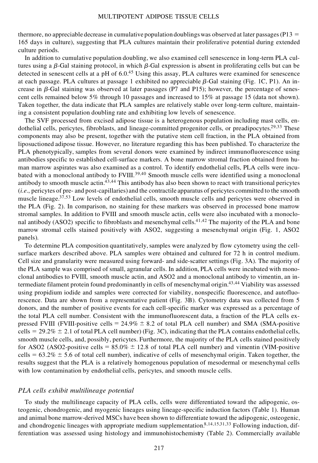thermore, no appreciable decrease in cumulative population doublings was observed at later passages ( $P13 =$ 165 days in culture), suggesting that PLA cultures maintain their proliferative potential during extended culture periods.

In addition to cumulative population doubling, we also examined cell senescence in long-term PLA cultures using a *b*-Gal staining protocol, in which *b*-Gal expression is absent in proliferating cells but can be detected in senescent cells at a pH of  $6.0<sup>45</sup>$  Using this assay, PLA cultures were examined for senescence at each passage. PLA cultures at passage 1 exhibited no appreciable  $\beta$ -Gal staining (Fig. 1C, P1). An increase in  $\beta$ -Gal staining was observed at later passages (P7 and P15); however, the percentage of senescent cells remained below 5% through 10 passages and increased to 15% at passage 15 (data not shown). Taken together, the data indicate that PLA samples are relatively stable over long-term culture, maintaining a consistent population doubling rate and exhibiting low levels of senescence.

The SVF processed from excised adipose tissue is a heterogenous population including mast cells, endothelial cells, pericytes, fibroblasts, and lineage-committed progenitor cells, or preadipocytes.<sup>29,33</sup> These components may also be present, together with the putative stem cell fraction, in the PLA obtained from liposuctioned adipose tissue. However, no literature regarding this has been published. To characterize the PLA phenotypically, samples from several donors were examined by indirect immunofluorescence using antibodies specific to established cell-surface markers. A bone marrow stromal fraction obtained from human marrow aspirates was also examined as a control. To identify endothelial cells, PLA cells were incubated with a monoclonal antibody to FVIII.<sup>39,40</sup> Smooth muscle cells were identified using a monoclonal antibody to smooth muscle actin.<sup>43,44</sup> This antibody has also been shown to react with transitional pericytes (*i.e.*, pericytes of pre- and post-capillaries) and the contractile apparatus of pericytes committed to the smooth muscle lineage.<sup>37,53</sup> Low levels of endothelial cells, smooth muscle cells and pericytes were observed in the PLA (Fig. 2). In comparison, no staining for these markers was observed in processed bone marrow stromal samples. In addition to FVIII and smooth muscle actin, cells were also incubated with a monoclonal antibody (ASO2) specific to fibroblasts and mesenchymal cells.<sup>41,42</sup> The majority of the PLA and bone marrow stromal cells stained positively with ASO2, suggesting a mesenchymal origin (Fig. 1, ASO2 panels).

To determine PLA composition quantitatively, samples were analyzed by flow cytometry using the cellsurface markers described above. PLA samples were obtained and cultured for 72 h in control medium. Cell size and granularity were measured using forward- and side-scatter settings (Fig. 3A). The majority of the PLA sample was comprised of small, agranular cells. In addition, PLA cells were incubated with monoclonal antibodies to FVIII, smooth muscle actin, and ASO2 and a monoclonal antibody to vimentin, an intermediate filament protein found predominantly in cells of mesenchymal origin.43,44 Viability was assessed using propidium iodide and samples were corrected for viability, nonspecific fluorescence, and autofluorescence. Data are shown from a representative patient (Fig. 3B). Cytometry data was collected from 5 donors, and the number of positive events for each cell-specific marker was expressed as a percentage of the total PLA cell number. Consistent with the immunofluorescent data, a fraction of the PLA cells expressed FVIII (FVIII-positive cells =  $24.9\% \pm 8.2$  of total PLA cell number) and SMA (SMA-positive cells =  $29.2\% \pm 2.1$  of total PLA cell number) (Fig. 3C), indicating that the PLA contains endothelial cells, smooth muscle cells, and, possibly, pericytes. Furthermore, the majority of the PLA cells stained positively for ASO2 (ASO2-positive cells =  $85.0\% \pm 12.8$  of total PLA cell number) and vimentin (VIM-positive cells =  $63.2\% \pm 5.6$  of total cell number), indicative of cells of mesenchymal origin. Taken together, the results suggest that the PLA is a relatively homogenous population of mesodermal or mesenchymal cells with low contamination by endothelial cells, pericytes, and smooth muscle cells.

#### *PLA cells exhibit multilineage potential*

To study the multilineage capacity of PLA cells, cells were differentiated toward the adipogenic, osteogenic, chondrogenic, and myogenic lineages using lineage-specific induction factors (Table 1). Human and animal bone marrow-derived MSCs have been shown to differentiate toward the adipogenic, osteogenic, and chondrogenic lineages with appropriate medium supplementation.<sup>8,14,15,31,33</sup> Following induction, differentiation was assessed using histology and immunohistochemistry (Table 2). Commercially available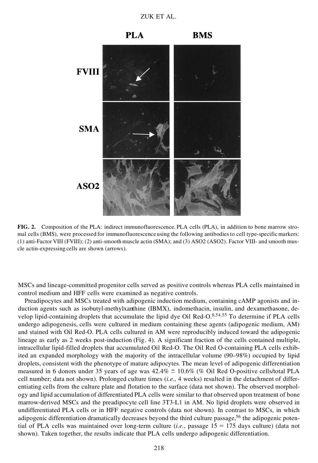

**FIG. 2.** Composition of the PLA: indirect immunofluorescence. PLA cells (PLA), in addition to bone marrow stromal cells (BMS), were processed for immunofluorescence using the following antibodies to cell type-specific markers: (1) anti-Factor VIII (FVIII); (2) anti-smooth muscle actin (SMA); and (3) ASO2 (ASO2). Factor VIII- and smooth mus cle actin-expressing cells are shown (arrows).

MSCs and lineage-committed progenitor cells served as positive controls whereas PLA cells maintained in control medium and HFF cells were examined as negative controls.

Preadipocytes and MSCs treated with adipogenic induction medium, containing cAMP agonists and induction agents such as isobutyl-methylxanthine (IBMX), indomethacin, insulin, and dexamethasone, develop lipid-containing droplets that accumulate the lipid dye Oil Red-O.<sup>8,54,55</sup> To determine if PLA cells undergo adipogenesis, cells were cultured in medium containing these agents (adipogenic medium, AM) and stained with Oil Red-O. PLA cells cultured in AM were reproducibly induced toward the adipogenic lineage as early as 2 weeks post-induction (Fig. 4). A significant fraction of the cells contained multiple, intracellular lipid-filled droplets that accumulated Oil Red-O. The Oil Red O-containing PLA cells exhibited an expanded morphology with the majority of the intracellular volume (90–98%) occupied by lipid droplets, consistent with the phenotype of mature adipocytes. The mean level of adipogenic differentiation measured in 6 donors under 35 years of age was  $42.4\% \pm 10.6\%$  (% Oil Red O-positive cells/total PLA cell number; data not shown). Prolonged culture times (*i.e.*, 4 weeks) resulted in the detachment of differentiating cells from the culture plate and flotation to the surface (data not shown). The observed morphology and lipid accumulation of differentiated PLA cells were similar to that observed upon treatment of bone marrow-derived MSCs and the preadipocyte cell line 3T3-L1 in AM. No lipid droplets were observed in undifferentiated PLA cells or in HFF negative controls (data not shown). In contrast to MSCs, in which adipogenic differentiation dramatically decreases beyond the third culture passage,<sup>56</sup> the adipogenic potential of PLA cells was maintained over long-term culture  $(i.e.,$  passage  $15 = 175$  days culture) (data not shown). Taken together, the results indicate that PLA cells undergo adipogenic differentiation.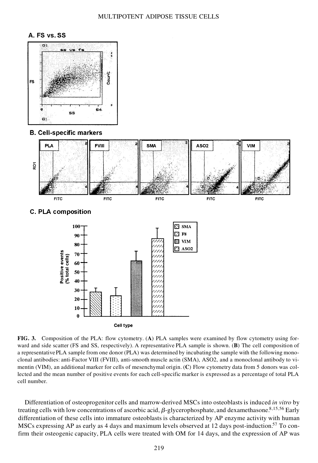A. FS vs. SS



## **B. Cell-specific markers**



## C. PLA composition



**FIG. 3.** Composition of the PLA: flow cytometry. (**A**) PLA samples were examined by flow cytometry using forward and side scatter (FS and SS, respectively). A representative PLA sample is shown. (**B**) The cell composition of a representative PLA sample from one donor (PLA) was determined by incubating the sample with the following mono clonal antibodies: anti-Factor VIII (FVIII), anti-smooth muscle actin (SMA), ASO2, and a monoclonal antibody to vimentin (VIM), an additional marker for cells of mesenchymal origin. (**C**) Flow cytometry data from 5 donors was collected and the mean number of positive events for each cell-specific marker is expressed as a percentage of total PLA cell number.

Differentiation of osteoprogenitor cells and marrow-derived MSCs into osteoblasts is induced *in vitro* by treating cells with low concentrations of ascorbic acid,  $\beta$ -glycerophosphate, and dexamethasone.<sup>8,15,56</sup> Early differentiation of these cells into immature osteoblasts is characterized by AP enzyme activity with human MSCs expressing AP as early as 4 days and maximum levels observed at 12 days post-induction.<sup>57</sup> To confirm their osteogenic capacity, PLA cells were treated with OM for 14 days, and the expression of AP was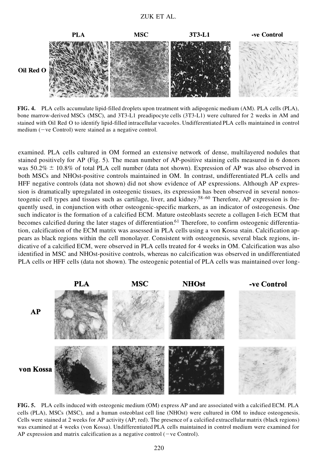

**FIG. 4.** PLA cells accumulate lipid-filled droplets upon treatment with adipogenic medium (AM). PLA cells (PLA), bone marrow-derived MSCs (MSC), and 3T3-L1 preadipocyte cells (3T3-L1) were cultured for 2 weeks in AM and stained with Oil Red O to identify lipid-filled intracellular vacuoles. Undifferentiated PLA cells maintained in control medium  $(-ve Control)$  were stained as a negative control.

examined. PLA cells cultured in OM formed an extensive network of dense, multilayered nodules that stained positively for AP (Fig. 5). The mean number of AP-positive staining cells measured in 6 donors was  $50.2\% \pm 10.8\%$  of total PLA cell number (data not shown). Expression of AP was also observed in both MSCs and NHOst-positive controls maintained in OM. In contrast, undifferentiated PLA cells and HFF negative controls (data not shown) did not show evidence of AP expressions. Although AP expression is dramatically upregulated in osteogenic tissues, its expression has been observed in several nonosteogenic cell types and tissues such as cartilage, liver, and kidney.58–60 Therefore, AP expression is frequently used, in conjunction with other osteogenic-specific markers, as an indicator of osteogenesis. One such indicator is the formation of a calcified ECM. Mature osteoblasts secrete a collagen I-rich ECM that becomes calcified during the later stages of differentiation.<sup>61</sup> Therefore, to confirm osteogenic differentiation, calcification of the ECM matrix was assessed in PLA cells using a von Kossa stain. Calcification appears as black regions within the cell monolayer. Consistent with osteogenesis, several black regions, indicative of a calcified ECM, were observed in PLA cells treated for 4 weeks in OM. Calcification was also identified in MSC and NHOst-positive controls, whereas no calcification was observed in undifferentiated PLA cells or HFF cells (data not shown). The osteogenic potential of PLA cells was maintained over long-



**FIG. 5.** PLA cells induced with osteogenic medium (OM) express AP and are associated with a calcified ECM. PLA cells (PLA), MSCs (MSC), and a human osteoblast cell line (NHOst) were cultured in OM to induce osteogenesis. Cells were stained at 2 weeks for AP activity (AP; red). The presence of a calcified extracellular matrix (black regions) was examined at 4 weeks (von Kossa). Undifferentiated PLA cells maintained in control medium were examined for AP expression and matrix calcification as a negative control  $(-ve Control)$ .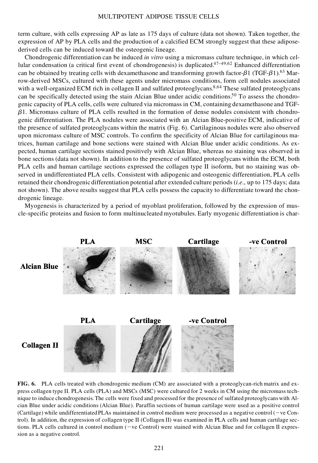term culture, with cells expressing AP as late as 175 days of culture (data not shown). Taken together, the expression of AP by PLA cells and the production of a calcified ECM strongly suggest that these adiposederived cells can be induced toward the osteogenic lineage.

Chondrogenic differentiation can be induced *in vitro* using a micromass culture technique, in which cellular condensation (a critical first event of chondrogenesis) is duplicated.47–49,62 Enhanced differentiation can be obtained by treating cells with dexamethasone and transforming growth factor- $\beta$ 1 (TGF- $\beta$ 1).<sup>63</sup> Marrow-derived MSCs, cultured with these agents under micromass conditions, form cell nodules associated with a well-organized ECM rich in collagen II and sulfated proteoglycans.<sup>8,64</sup> These sulfated proteoglycans can be specifically detected using the stain Alcian Blue under acidic conditions.<sup>50</sup> To assess the chondrogenic capacity of PLA cells, cells were cultured via micromass in CM, containing dexamethasone and TGF*b*1. Micromass culture of PLA cells resulted in the formation of dense nodules consistent with chondrogenic differentiation. The PLA nodules were associated with an Alcian Blue-positive ECM, indicative of the presence of sulfated proteoglycans within the matrix (Fig. 6). Cartilaginous nodules were also observed upon micromass culture of MSC controls. To confirm the specificity of Alcian Blue for cartilaginous matrices, human cartilage and bone sections were stained with Alcian Blue under acidic conditions. As expected, human cartilage sections stained positively with Alcian Blue, whereas no staining was observed in bone sections (data not shown). In addition to the presence of sulfated proteoglycans within the ECM, both PLA cells and human cartilage sections expressed the collagen type II isoform, but no staining was observed in undifferentiated PLA cells. Consistent with adipogenic and osteogenic differentiation, PLA cells retained their chondrogenic differentiation potential after extended culture periods (*i.e.*, up to 175 days; data not shown). The above results suggest that PLA cells possess the capacity to differentiate toward the chondrogenic lineage.

Myogenesis is characterized by a period of myoblast proliferation, followed by the expression of muscle-specific proteins and fusion to form multinucleated myotubules. Early myogenic differentiation is char-



**FIG. 6.** PLA cells treated with chondrogenic medium (CM) are associated with a proteoglycan-rich matrix and ex press collagen type II. PLA cells (PLA) and MSCs (MSC) were cultured for 2 weeks in CM using the micromass technique to induce chondrogenesis. The cells were fixed and processed for the presence of sulfated proteoglycans with Alcian Blue under acidic conditions (Alcian Blue). Paraffin sections of human cartilage were used as a positive control (Cartilage) while undifferentiated PLAs maintained in control medium were processed as a negative control  $(-ve$  Control). In addition, the expression of collagen type II (Collagen II) was examined in PLA cells and human cartilage sections. PLA cells cultured in control medium  $(-ve$  Control) were stained with Alcian Blue and for collagen II expression as a negative control.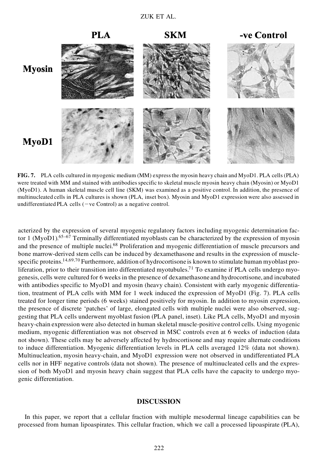

**FIG. 7.** PLA cells cultured in myogenic medium (MM) express the myosin heavy chain and MyoD1. PLA cells (PLA) were treated with MM and stained with antibodies specific to skeletal muscle myosin heavy chain (Myosin) or MyoD1 (MyoD1). A human skeletal muscle cell line (SKM) was examined as a positive control. In addition, the presence of multinucleated cells in PLA cultures is shown (PLA, inset box). Myosin and MyoD1 expression were also assessed in undifferentiated PLA cells  $(-ve Control)$  as a negative control.

acterized by the expression of several myogenic regulatory factors including myogenic determination factor 1 (MyoD1).<sup>65–67</sup> Terminally differentiated myoblasts can be characterized by the expression of myosin and the presence of multiple nuclei.<sup>68</sup> Proliferation and myogenic differentiation of muscle precursors and bone marrow-derived stem cells can be induced by dexamethasone and results in the expression of musclespecific proteins.<sup>14,69,70</sup> Furthermore, addition of hydrocortisone is known to stimulate human myoblast proliferation, prior to their transition into differentiated myotubules.<sup>71</sup> To examine if PLA cells undergo myogenesis, cells were cultured for 6 weeks in the presence of dexamethasone and hydrocortisone, and incubated with antibodies specific to MyoD1 and myosin (heavy chain). Consistent with early myogenic differentiation, treatment of PLA cells with MM for 1 week induced the expression of MyoD1 (Fig. 7). PLA cells treated for longer time periods (6 weeks) stained positively for myosin. In addition to myosin expression, the presence of discrete 'patches' of large, elongated cells with multiple nuclei were also observed, suggesting that PLA cells underwent myoblast fusion (PLA panel, inset). Like PLA cells, MyoD1 and myosin heavy-chain expression were also detected in human skeletal muscle-positive control cells. Using myogenic medium, myogenic differentiation was not observed in MSC controls even at 6 weeks of induction (data not shown). These cells may be adversely affected by hydrocortisone and may require alternate conditions to induce differentiation. Myogenic differentiation levels in PLA cells averaged 12% (data not shown). Multinucleation, myosin heavy-chain, and MyoD1 expression were not observed in undifferentiated PLA cells nor in HFF negative controls (data not shown). The presence of multinucleated cells and the expression of both MyoD1 and myosin heavy chain suggest that PLA cells have the capacity to undergo myogenic differentiation.

### **DISCUSSION**

In this paper, we report that a cellular fraction with multiple mesodermal lineage capabilities can be processed from human lipoaspirates. This cellular fraction, which we call a processed lipoaspirate (PLA),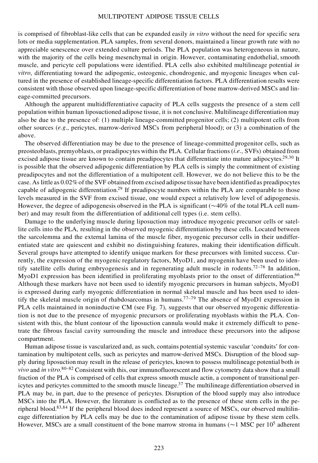is comprised of fibroblast-like cells that can be expanded easily *in vitro* without the need for specific sera lots or media supplementation. PLA samples, from several donors, maintained a linear growth rate with no appreciable senescence over extended culture periods. The PLA population was heterogeneous in nature, with the majority of the cells being mesenchymal in origin. However, contaminating endothelial, smooth muscle, and pericyte cell populations were identified. PLA cells also exhibited multilineage potential *in vitro*, differentiating toward the adipogenic, osteogenic, chondrogenic, and myogenic lineages when cultured in the presence of established lineage-specific differentiation factors. PLA differentiation results were consistent with those observed upon lineage-specific differentiation of bone marrow-derived MSCs and lineage-committed precursors.

Although the apparent multidifferentiative capacity of PLA cells suggests the presence of a stem cell population within human liposuctioned adipose tissue, it is not conclusive. Multilineage differentiation may also be due to the presence of: (1) multiple lineage-committed progenitor cells; (2) multipotent cells from other sources (*e.g*., pericytes, marrow-derived MSCs from peripheral blood); or (3) a combination of the above.

The observed differentiation may be due to the presence of lineage-committed progenitor cells, such as preosteoblasts, premyoblasts, or preadipocytes within the PLA. Cellular fractions (*i.e.*, SVFs) obtained from excised adipose tissue are known to contain preadipocytes that differentiate into mature adipocytes.<sup>29,30</sup> It is possible that the observed adipogenic differentiation by PLA cells is simply the commitment of existing preadipocytes and not the differentiation of a multipotent cell. However, we do not believe this to be the case. As little as 0.02% of the SVF obtained from excised adipose tissue have been identified as preadipocytes capable of adipogenic differentiation.<sup>29</sup> If preadipocyte numbers within the PLA are comparable to those levels measured in the SVF from excised tissue, one would expect a relatively low level of adipogenesis. However, the degree of adipogenesis observed in the PLA is significant  $(\sim 40\%$  of the total PLA cell number) and may result from the differentiation of additional cell types (i.e. stem cells).

Damage to the underlying muscle during liposuction may introduce myogenic precursor cells or satellite cells into the PLA, resulting in the observed myogenic differentiation by these cells. Located between the sarcolemma and the external lamina of the muscle fiber, myogenic precursor cells in their undifferentiated state are quiescent and exhibit no distinguishing features, making their identification difficult. Several groups have attempted to identify unique markers for these precursors with limited success. Currently, the expression of the myogenic regulatory factors, MyoD1, and myogenin have been used to identify satellite cells during embryogenesis and in regenerating adult muscle in rodents.<sup>72-76</sup> In addition, MyoD1 expression has been identified in proliferating myoblasts prior to the onset of differentiation.<sup>66</sup> Although these markers have not been used to identify myogenic precursors in human subjects, MyoD1 is expressed during early myogenic differentiation in normal skeletal muscle and has been used to identify the skeletal muscle origin of rhabdosarcomas in humans.77–79 The absence of MyoD1 expression in PLA cells maintained in noninductive CM (see Fig. 7), suggests that our observed myogenic differentiation is not due to the presence of myogenic precursors or proliferating myoblasts within the PLA. Consistent with this, the blunt contour of the liposuction cannula would make it extremely difficult to penetrate the fibrous fascial cavity surrounding the muscle and introduce these precursors into the adipose compartment.

Human adipose tissue is vascularized and, as such, contains potential systemic vascular 'conduits' for contamination by multipotent cells, such as pericytes and marrow-derived MSCs. Disruption of the blood supply during liposuction may result in the release of pericytes, known to possess multilineage potential both *in vivo* and *in vitro*.80–82 Consistent with this, our immunofluorescent and flow cytometry data show that a small fraction of the PLA is comprised of cells that express smooth muscle actin, a component of transitional pericytes and pericytes committed to the smooth muscle lineage.<sup>37</sup> The multilineage differentiation observed in PLA may be, in part, due to the presence of pericytes. Disruption of the blood supply may also introduce MSCs into the PLA. However, the literature is conflicted as to the presence of these stem cells in the peripheral blood.83,84 If the peripheral blood does indeed represent a source of MSCs, our observed multilineage differentiation by PLA cells may be due to the contamination of adipose tissue by these stem cells. However, MSCs are a small constituent of the bone marrow stroma in humans ( $\sim$ 1 MSC per 10<sup>5</sup> adherent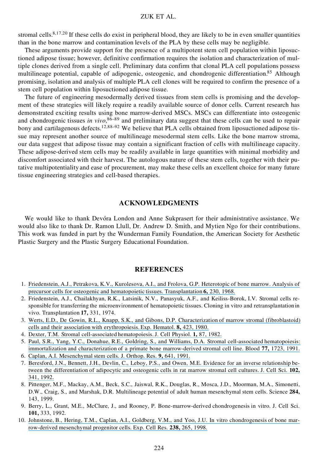stromal cells. $8,17,20$  If these cells do exist in peripheral blood, they are likely to be in even smaller quantities than in the bone marrow and contamination levels of the PLA by these cells may be negligible.

These arguments provide support for the presence of a multipotent stem cell population within liposuctioned adipose tissue; however, definitive confirmation requires the isolation and characterization of multiple clones derived from a single cell. Preliminary data confirm that clonal PLA cell populations possess multilineage potential, capable of adipogenic, osteogenic, and chondrogenic differentiation.<sup>85</sup> Although promising, isolation and analysis of multiple PLA cell clones will be required to confirm the presence of a stem cell population within liposuctioned adipose tissue.

The future of engineering mesodermally derived tissues from stem cells is promising and the development of these strategies will likely require a readily available source of donor cells. Current research has demonstrated exciting results using bone marrow-derived MSCs. MSCs can differentiate into osteogenic and chondrogenic tissues *in vivo*,86–89 and preliminary data suggest that these cells can be used to repair bony and cartilagenous defects.12,88–92 We believe that PLA cells obtained from liposuctioned adipose tissue may represent another source of multilineage mesodermal stem cells. Like the bone marrow stroma, our data suggest that adipose tissue may contain a significant fraction of cells with multilineage capacity. These adipose-derived stem cells may be readily available in large quantities with minimal morbidity and discomfort associated with their harvest. The autologous nature of these stem cells, together with their putative multipotentiality and ease of procurement, may make these cells an excellent choice for many future tissue engineering strategies and cell-based therapies.

## **ACKNOWLEDGMENTS**

We would like to thank Devóra London and Anne Sukprasert for their administrative assistance. We would also like to thank Dr. Ramon Llull, Dr. Andrew D. Smith, and Mytien Ngo for their contributions. This work was funded in part by the Wunderman Family Foundation, the American Society for Aesthetic Plastic Surgery and the Plastic Surgery Educational Foundation.

### **REFERENCES**

- 1. [Friedenstein, A.J., Petrakova, K.V., Kurolesova, A.I., and Frolova, G.P. Heterotopic of bone marrow. Analysis of](https://www.researchgate.net/publication/17532119_Heterotopic_of_bone_marrow_Analysis_of_precursor_cells_for_osteogenic_and_hematopoietic_tissues?el=1_x_8&enrichId=rgreq-e88b3d7ba40d5fa974991c49436e687c-XXX&enrichSource=Y292ZXJQYWdlOzEyMDMwODM1O0FTOjEwMjU5OTMxMTIzMzAyN0AxNDAxNDcyOTkwMzY4) [precursor cells for osteogenic and hematopoietic tissues. Transplantation](https://www.researchgate.net/publication/17532119_Heterotopic_of_bone_marrow_Analysis_of_precursor_cells_for_osteogenic_and_hematopoietic_tissues?el=1_x_8&enrichId=rgreq-e88b3d7ba40d5fa974991c49436e687c-XXX&enrichSource=Y292ZXJQYWdlOzEyMDMwODM1O0FTOjEwMjU5OTMxMTIzMzAyN0AxNDAxNDcyOTkwMzY4) **6,** 230, 1968.
- 2. Friedenstein, A.J., Chailakhyan, R.K., Latsinik, N.V., Panasyuk, A.F., and Keiliss-Borok, I.V. Stromal cells responsible for transferring the microenvironment of hematopoietic tissues. Cloning in vitro and retransplantation in vivo. Transplantation **17,** 331, 1974.
- 3. [Werts, E.D., De Gowin, R.L., Knapp, S.K., and Gibons, D.P. Characterization of marrow stromal \(fibroblastoid\)](https://www.researchgate.net/publication/15738151_Characterization_of_marrow_stromal_fibroblastoid_cells_and_their_association_with_erythropoiesis?el=1_x_8&enrichId=rgreq-e88b3d7ba40d5fa974991c49436e687c-XXX&enrichSource=Y292ZXJQYWdlOzEyMDMwODM1O0FTOjEwMjU5OTMxMTIzMzAyN0AxNDAxNDcyOTkwMzY4) [cells and their association with erythropoiesis. Exp. Hematol.](https://www.researchgate.net/publication/15738151_Characterization_of_marrow_stromal_fibroblastoid_cells_and_their_association_with_erythropoiesis?el=1_x_8&enrichId=rgreq-e88b3d7ba40d5fa974991c49436e687c-XXX&enrichSource=Y292ZXJQYWdlOzEyMDMwODM1O0FTOjEwMjU5OTMxMTIzMzAyN0AxNDAxNDcyOTkwMzY4) **8,** 423, 1980.
- 4. [Dexter, T.M. Stromal cell-associated hematopoiesis. J. Cell Physiol.](https://www.researchgate.net/publication/16159462_Stromal_cell_associated_hemopoiesis?el=1_x_8&enrichId=rgreq-e88b3d7ba40d5fa974991c49436e687c-XXX&enrichSource=Y292ZXJQYWdlOzEyMDMwODM1O0FTOjEwMjU5OTMxMTIzMzAyN0AxNDAxNDcyOTkwMzY4) **1,** 87, 1982.
- 5. [Paul, S.R., Yang, Y.C., Donahue, R.E., Goldring, S., and Williams, D.A. Stromal cell-associated hematopoiesis:](https://www.researchgate.net/publication/21141409_Stromal_cell-associated_hematopoiesis_Immortalization_and_characterization_of_a_primate_bone_marrow-derived_stromal_cell_line?el=1_x_8&enrichId=rgreq-e88b3d7ba40d5fa974991c49436e687c-XXX&enrichSource=Y292ZXJQYWdlOzEyMDMwODM1O0FTOjEwMjU5OTMxMTIzMzAyN0AxNDAxNDcyOTkwMzY4) [immortalization and characterization of a primate bone marrow-derived stromal cell line. Blood](https://www.researchgate.net/publication/21141409_Stromal_cell-associated_hematopoiesis_Immortalization_and_characterization_of_a_primate_bone_marrow-derived_stromal_cell_line?el=1_x_8&enrichId=rgreq-e88b3d7ba40d5fa974991c49436e687c-XXX&enrichSource=Y292ZXJQYWdlOzEyMDMwODM1O0FTOjEwMjU5OTMxMTIzMzAyN0AxNDAxNDcyOTkwMzY4) **77,** 1723, 1991.
- 6. [Caplan, A.I. Mesenchymal stem cells. J. Orthop. Res.](https://www.researchgate.net/publication/21286014_Mesenchymal_Stem_Cells?el=1_x_8&enrichId=rgreq-e88b3d7ba40d5fa974991c49436e687c-XXX&enrichSource=Y292ZXJQYWdlOzEyMDMwODM1O0FTOjEwMjU5OTMxMTIzMzAyN0AxNDAxNDcyOTkwMzY4) **9,** 641, 1991.
- 7. [Beresford, J.N., Bennett, J.H., Devlin, C., Leboy, P.S., and Owen, M.E. Evidence for an inverse relationship be](https://www.researchgate.net/publication/21754351_Evidence_for_an_inverse_relationship_between_the_differentiation_of_adipocytic_and_osteogenic_cells_in_rat_marrow_stromal_cell_cultures?el=1_x_8&enrichId=rgreq-e88b3d7ba40d5fa974991c49436e687c-XXX&enrichSource=Y292ZXJQYWdlOzEyMDMwODM1O0FTOjEwMjU5OTMxMTIzMzAyN0AxNDAxNDcyOTkwMzY4)[tween the differentiation of adipocytic and osteogenic cells in rat marrow stromal cell cultures. J. Cell Sci.](https://www.researchgate.net/publication/21754351_Evidence_for_an_inverse_relationship_between_the_differentiation_of_adipocytic_and_osteogenic_cells_in_rat_marrow_stromal_cell_cultures?el=1_x_8&enrichId=rgreq-e88b3d7ba40d5fa974991c49436e687c-XXX&enrichSource=Y292ZXJQYWdlOzEyMDMwODM1O0FTOjEwMjU5OTMxMTIzMzAyN0AxNDAxNDcyOTkwMzY4) **102,** [341, 1992.](https://www.researchgate.net/publication/21754351_Evidence_for_an_inverse_relationship_between_the_differentiation_of_adipocytic_and_osteogenic_cells_in_rat_marrow_stromal_cell_cultures?el=1_x_8&enrichId=rgreq-e88b3d7ba40d5fa974991c49436e687c-XXX&enrichSource=Y292ZXJQYWdlOzEyMDMwODM1O0FTOjEwMjU5OTMxMTIzMzAyN0AxNDAxNDcyOTkwMzY4)
- 8. Pittenger, M.F., Mackay, A.M., Beck, S.C., Jaiswal, R.K., Douglas, R., Mosca, J.D., Moorman, M.A., Simonetti, D.W., Craig, S., and Marshak, D.R. Multilineage potential of adult human mesenchymal stem cells. Science **284,** 143, 1999.
- 9. Berry, L., Grant, M.E., McClure, J., and Rooney, P. Bone-marrow-derived chondrogenesis in vitro. J. Cell Sci. **101,** 333, 1992.
- 10. [Johnstone, B., Hering, T.M., Caplan, A.I., Goldberg, V.M., and Yoo, J.U. In vitro chondrogenesis of bone mar](https://www.researchgate.net/publication/223806586_In_VitroChondrogenesis_of_Bone_Marrow-Derived_Mesenchymal_Progenitor_Cells?el=1_x_8&enrichId=rgreq-e88b3d7ba40d5fa974991c49436e687c-XXX&enrichSource=Y292ZXJQYWdlOzEyMDMwODM1O0FTOjEwMjU5OTMxMTIzMzAyN0AxNDAxNDcyOTkwMzY4)[row-derived mesenchymal progenitor cells. Exp. Cell Res.](https://www.researchgate.net/publication/223806586_In_VitroChondrogenesis_of_Bone_Marrow-Derived_Mesenchymal_Progenitor_Cells?el=1_x_8&enrichId=rgreq-e88b3d7ba40d5fa974991c49436e687c-XXX&enrichSource=Y292ZXJQYWdlOzEyMDMwODM1O0FTOjEwMjU5OTMxMTIzMzAyN0AxNDAxNDcyOTkwMzY4) **238,** 265, 1998.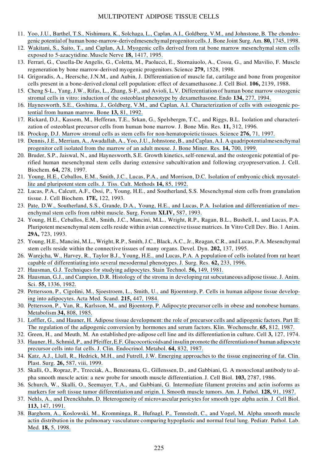- 11. [Yoo, J.U., Barthel, T.S., Nishimura, K., Solchaga, L., Caplan, A.I., Goldberg, V.M., and Johnstone, B. The chondro](https://www.researchgate.net/publication/13412423_The_Chondrogenic_Potential_of_Human_Bone-Marrow-Derived_Mesenchymal_Progenitor_Cells?el=1_x_8&enrichId=rgreq-e88b3d7ba40d5fa974991c49436e687c-XXX&enrichSource=Y292ZXJQYWdlOzEyMDMwODM1O0FTOjEwMjU5OTMxMTIzMzAyN0AxNDAxNDcyOTkwMzY4)[genic potential of human bone-marrow-derived mesenchymal progenitor cells. J. Bone Joint Surg. Am.](https://www.researchgate.net/publication/13412423_The_Chondrogenic_Potential_of_Human_Bone-Marrow-Derived_Mesenchymal_Progenitor_Cells?el=1_x_8&enrichId=rgreq-e88b3d7ba40d5fa974991c49436e687c-XXX&enrichSource=Y292ZXJQYWdlOzEyMDMwODM1O0FTOjEwMjU5OTMxMTIzMzAyN0AxNDAxNDcyOTkwMzY4) **80,** 1745, 1998.
- 12. [Wakitani, S., Saito, T., and Caplan, A.I. Myogenic cells derived from rat bone marrow mesenchymal stem cells](https://www.researchgate.net/publication/15722166_Myogenic_cells_derived_from_rat_bone_marrow_mesenchymal_stem_cells_exposed_to_5-azacytidine?el=1_x_8&enrichId=rgreq-e88b3d7ba40d5fa974991c49436e687c-XXX&enrichSource=Y292ZXJQYWdlOzEyMDMwODM1O0FTOjEwMjU5OTMxMTIzMzAyN0AxNDAxNDcyOTkwMzY4) [exposed to 5-azacytidine. Muscle Nerve](https://www.researchgate.net/publication/15722166_Myogenic_cells_derived_from_rat_bone_marrow_mesenchymal_stem_cells_exposed_to_5-azacytidine?el=1_x_8&enrichId=rgreq-e88b3d7ba40d5fa974991c49436e687c-XXX&enrichSource=Y292ZXJQYWdlOzEyMDMwODM1O0FTOjEwMjU5OTMxMTIzMzAyN0AxNDAxNDcyOTkwMzY4) **18,** 1417, 1995.
- 13. Ferrari, G., Cusella-De Angelis, G., Coletta, M., Paolucci, E., Stornaiuolo, A., Cossu, G., and Mavilio, F. Muscle regeneration by bone marrow-derived myogenic progenitors. Science **279,** 1528, 1998.
- 14. Grigoradis, A., Heersche, J.N.M., and Aubin, J. Differentiation of muscle fat, cartilage and bone from progenitor cells present in a bone-derived clonal cell population: effect of dexamethasone. J. Cell Biol. **106,** 2139, 1988.
- 15. [Cheng S-L., Yang, J.W., Rifas, L., Zhang, S-F., and Avioli, L.V. Differentiation of human bone marrow osteogenic](https://www.researchgate.net/publication/14923238_Differentiation_of_Human_Bone-Marrow_Osteogenic_Stromal_Cells_in_Vitro_-_Induction_of_the_Osteoblast_Phenotype_by_Dexamethasone?el=1_x_8&enrichId=rgreq-e88b3d7ba40d5fa974991c49436e687c-XXX&enrichSource=Y292ZXJQYWdlOzEyMDMwODM1O0FTOjEwMjU5OTMxMTIzMzAyN0AxNDAxNDcyOTkwMzY4) [stromal cells in vitro: induction of the osteoblast phenotype by dexamethasone. Endo](https://www.researchgate.net/publication/14923238_Differentiation_of_Human_Bone-Marrow_Osteogenic_Stromal_Cells_in_Vitro_-_Induction_of_the_Osteoblast_Phenotype_by_Dexamethasone?el=1_x_8&enrichId=rgreq-e88b3d7ba40d5fa974991c49436e687c-XXX&enrichSource=Y292ZXJQYWdlOzEyMDMwODM1O0FTOjEwMjU5OTMxMTIzMzAyN0AxNDAxNDcyOTkwMzY4) **134,** 277, 1994.
- 16. [Haynesworth, S.E., Goshima, J., Goldberg, V.M., and Caplan, A.I. Characterization of cells with osteogenic po](https://www.researchgate.net/publication/21574842_Characterization_of_Cells_with_Osteogenic_Potential_from_Human_Marrow?el=1_x_8&enrichId=rgreq-e88b3d7ba40d5fa974991c49436e687c-XXX&enrichSource=Y292ZXJQYWdlOzEyMDMwODM1O0FTOjEwMjU5OTMxMTIzMzAyN0AxNDAxNDcyOTkwMzY4)[tential from human marrow. Bone](https://www.researchgate.net/publication/21574842_Characterization_of_Cells_with_Osteogenic_Potential_from_Human_Marrow?el=1_x_8&enrichId=rgreq-e88b3d7ba40d5fa974991c49436e687c-XXX&enrichSource=Y292ZXJQYWdlOzEyMDMwODM1O0FTOjEwMjU5OTMxMTIzMzAyN0AxNDAxNDcyOTkwMzY4) **13,** 81, 1992.
- 17. Rickard, D.J., Kassem, M., Hefferan, T.E., Srkan, G., Spelsbergm, T.C., and Riggs, B.L. Isolation and characterization of osteoblast precursor cells from human bone marrow. J. Bone Min. Res. **11,** 312, 1996.
- 18. [Prockop, D.J. Marrow stromal cells as stem cells for non-hematopoietic tissues. Science](https://www.researchgate.net/publication/14132221_Marrow_Stromal_Cells_as_Stem_Cells_for_Nonhematopoietic_Tissues?el=1_x_8&enrichId=rgreq-e88b3d7ba40d5fa974991c49436e687c-XXX&enrichSource=Y292ZXJQYWdlOzEyMDMwODM1O0FTOjEwMjU5OTMxMTIzMzAyN0AxNDAxNDcyOTkwMzY4) **276,** 71, 1997.
- 19. [Dennis, J.E., Merriam, A., Awadallah, A., Yoo, J.U., Johnstone, B., and Caplan, A.I. A quadripotential mesenchymal](https://www.researchgate.net/publication/12977187_A_Quadripotential_Mesenchymal_Progenitor_Cell_Isolated_from_the_Marrow_of_an_Adult_Mouse?el=1_x_8&enrichId=rgreq-e88b3d7ba40d5fa974991c49436e687c-XXX&enrichSource=Y292ZXJQYWdlOzEyMDMwODM1O0FTOjEwMjU5OTMxMTIzMzAyN0AxNDAxNDcyOTkwMzY4) [progenitor cell isolated from the marrow of an adult mouse. J. Bone Miner. Res.](https://www.researchgate.net/publication/12977187_A_Quadripotential_Mesenchymal_Progenitor_Cell_Isolated_from_the_Marrow_of_an_Adult_Mouse?el=1_x_8&enrichId=rgreq-e88b3d7ba40d5fa974991c49436e687c-XXX&enrichSource=Y292ZXJQYWdlOzEyMDMwODM1O0FTOjEwMjU5OTMxMTIzMzAyN0AxNDAxNDcyOTkwMzY4) **14,** 700, 1999.
- 20. Bruder, S.P., Jaiswal, N., and Haynesworth, S.E. Growth kinetics, self-renewal, and the osteogenic potential of purified human mesenchymal stem cells during extensive subcultivation and following cryopreservation. J. Cell. Biochem. **64,** 278, 1997.
- 21. [Young, H.E., Ceballos, E.M., Smith, J.C., Lucas, P.A., and Morrison, D.C. Isolation of embyonic chick myosatel](https://www.researchgate.net/publication/226324153_Isolation_of_embryonic_chick_myosatellite_and_pluripotent_stem_cells?el=1_x_8&enrichId=rgreq-e88b3d7ba40d5fa974991c49436e687c-XXX&enrichSource=Y292ZXJQYWdlOzEyMDMwODM1O0FTOjEwMjU5OTMxMTIzMzAyN0AxNDAxNDcyOTkwMzY4)[lite and pluripotent stem cells. J. Tiss. Cult. Methods](https://www.researchgate.net/publication/226324153_Isolation_of_embryonic_chick_myosatellite_and_pluripotent_stem_cells?el=1_x_8&enrichId=rgreq-e88b3d7ba40d5fa974991c49436e687c-XXX&enrichSource=Y292ZXJQYWdlOzEyMDMwODM1O0FTOjEwMjU5OTMxMTIzMzAyN0AxNDAxNDcyOTkwMzY4) **14,** 85, 1992.
- 22. Lucas, P.A., Calcutt, A.F., Ossi, P., Young, H.E., and Southerland, S.S. Mesenchymal stem cells from granulation tissue. J. Cell Biochem. **17E,** 122, 1993.
- 23. [Pate, D.W., Southerland, S.S., Grande, D.A., Young, H.E., and Lucas, P.A. Isolation and differentiation of mes](https://www.researchgate.net/publication/230710219_Isolation_and_differentiation_of_mesenchymal_stem_cell_from_rabbit_muscle?el=1_x_8&enrichId=rgreq-e88b3d7ba40d5fa974991c49436e687c-XXX&enrichSource=Y292ZXJQYWdlOzEyMDMwODM1O0FTOjEwMjU5OTMxMTIzMzAyN0AxNDAxNDcyOTkwMzY4) [enchymal stem cells from rabbit muscle. Surg. Forum](https://www.researchgate.net/publication/230710219_Isolation_and_differentiation_of_mesenchymal_stem_cell_from_rabbit_muscle?el=1_x_8&enrichId=rgreq-e88b3d7ba40d5fa974991c49436e687c-XXX&enrichSource=Y292ZXJQYWdlOzEyMDMwODM1O0FTOjEwMjU5OTMxMTIzMzAyN0AxNDAxNDcyOTkwMzY4) **XLIV,** 587, 1993.
- 24. Young, H.E., Ceballos, E.M., Smith, J.C., Mancini, M.L., Wright, R.P., Ragan, B.L., Bushell, I., and Lucas, P.A. Pluripotent mesenchymal stem cells reside within avian connective tissue matrices. In Vitro Cell Dev. Bio. 1 Anim. **29A,** 723, 1993.
- 25. Young, H.E., Mancini, M.L., Wright, R.P., Smith, J.C., Black, A.C., Jr., Reagan, C.R., and Lucas, P.A. Mesenchymal stem cells reside within the connective tissues of many organs. Devel. Dyn. **202,** 137, 1995.
- 26. [Warejcha, W., Harvey, R., Taylor B.J., Young, H.E., and Lucas, P.A. A population of cells isolated from rat heart](https://www.researchgate.net/publication/14567206_A_Population_of_Cells_Isolated_from_Rat_Heart_Capable_of_Differentiating_into_Several_Mesodermal_Phenotypes?el=1_x_8&enrichId=rgreq-e88b3d7ba40d5fa974991c49436e687c-XXX&enrichSource=Y292ZXJQYWdlOzEyMDMwODM1O0FTOjEwMjU5OTMxMTIzMzAyN0AxNDAxNDcyOTkwMzY4) [capable of differentiating into several mesodermal phenotypes. J. Surg. Res.](https://www.researchgate.net/publication/14567206_A_Population_of_Cells_Isolated_from_Rat_Heart_Capable_of_Differentiating_into_Several_Mesodermal_Phenotypes?el=1_x_8&enrichId=rgreq-e88b3d7ba40d5fa974991c49436e687c-XXX&enrichSource=Y292ZXJQYWdlOzEyMDMwODM1O0FTOjEwMjU5OTMxMTIzMzAyN0AxNDAxNDcyOTkwMzY4) **62,** 233, 1996.
- 27. [Hausman, G.J. Techniques for studying adipocytes. Stain Technol.](https://www.researchgate.net/publication/17018364_Techniques_for_Studying_Adipocytes?el=1_x_8&enrichId=rgreq-e88b3d7ba40d5fa974991c49436e687c-XXX&enrichSource=Y292ZXJQYWdlOzEyMDMwODM1O0FTOjEwMjU5OTMxMTIzMzAyN0AxNDAxNDcyOTkwMzY4) **56,** 149, 1981.
- 28. [Hausman, G.J., and Campion, D.R. Histology of the stroma in developing rat subcutaneous adipose tissue. J. Anim.](https://www.researchgate.net/publication/16038286_Histology_of_the_Stroma_in_Developing_Rat_Subcutaneous_Adipose_Tissue?el=1_x_8&enrichId=rgreq-e88b3d7ba40d5fa974991c49436e687c-XXX&enrichSource=Y292ZXJQYWdlOzEyMDMwODM1O0FTOjEwMjU5OTMxMTIzMzAyN0AxNDAxNDcyOTkwMzY4) Sci. **55,** [1336, 1982.](https://www.researchgate.net/publication/16038286_Histology_of_the_Stroma_in_Developing_Rat_Subcutaneous_Adipose_Tissue?el=1_x_8&enrichId=rgreq-e88b3d7ba40d5fa974991c49436e687c-XXX&enrichSource=Y292ZXJQYWdlOzEyMDMwODM1O0FTOjEwMjU5OTMxMTIzMzAyN0AxNDAxNDcyOTkwMzY4)
- 29. [Pettersson, P., Cigolini, M., Sjoestroem, L., Smith, U., and Bjoerntorp, P. Cells in human adipose tissue develop](https://www.researchgate.net/publication/16456601_Cells_in_Human_Adipose_Tissue_Developing_into_Adipocytes?el=1_x_8&enrichId=rgreq-e88b3d7ba40d5fa974991c49436e687c-XXX&enrichSource=Y292ZXJQYWdlOzEyMDMwODM1O0FTOjEwMjU5OTMxMTIzMzAyN0AxNDAxNDcyOTkwMzY4)[ing into adipocytes. Acta Med. Scand.](https://www.researchgate.net/publication/16456601_Cells_in_Human_Adipose_Tissue_Developing_into_Adipocytes?el=1_x_8&enrichId=rgreq-e88b3d7ba40d5fa974991c49436e687c-XXX&enrichSource=Y292ZXJQYWdlOzEyMDMwODM1O0FTOjEwMjU5OTMxMTIzMzAyN0AxNDAxNDcyOTkwMzY4) **215,** 447, 1984.
- 30. [Pettersson, P., Van, R., Karlsson, M., and Bjoentorp, P. Adipocyte precursor cells in obese and nonobese humans.](https://www.researchgate.net/publication/19129366_Adipocyte_precursor_cells_in_obese_and_nonobese_humans?el=1_x_8&enrichId=rgreq-e88b3d7ba40d5fa974991c49436e687c-XXX&enrichSource=Y292ZXJQYWdlOzEyMDMwODM1O0FTOjEwMjU5OTMxMTIzMzAyN0AxNDAxNDcyOTkwMzY4) [Metabolism](https://www.researchgate.net/publication/19129366_Adipocyte_precursor_cells_in_obese_and_nonobese_humans?el=1_x_8&enrichId=rgreq-e88b3d7ba40d5fa974991c49436e687c-XXX&enrichSource=Y292ZXJQYWdlOzEyMDMwODM1O0FTOjEwMjU5OTMxMTIzMzAyN0AxNDAxNDcyOTkwMzY4) **34,** 808, 1985.
- 31. [Loffler, G., and Hauner, H. Adipose tissue development: the role of precursor cells and adipogenic factors. Part II:](https://www.researchgate.net/publication/19845771_Adipose_tissue_development_The_role_of_precursor_cells_and_adipogenic_factors_Part_II_The_regulation_of_the_adipogenic_conversion_by_hormones_and_serum_factors?el=1_x_8&enrichId=rgreq-e88b3d7ba40d5fa974991c49436e687c-XXX&enrichSource=Y292ZXJQYWdlOzEyMDMwODM1O0FTOjEwMjU5OTMxMTIzMzAyN0AxNDAxNDcyOTkwMzY4) [The regulation of the adipogenic conversion by hormones and serum factors. Klin. Wochenschr.](https://www.researchgate.net/publication/19845771_Adipose_tissue_development_The_role_of_precursor_cells_and_adipogenic_factors_Part_II_The_regulation_of_the_adipogenic_conversion_by_hormones_and_serum_factors?el=1_x_8&enrichId=rgreq-e88b3d7ba40d5fa974991c49436e687c-XXX&enrichSource=Y292ZXJQYWdlOzEyMDMwODM1O0FTOjEwMjU5OTMxMTIzMzAyN0AxNDAxNDcyOTkwMzY4) **65,** 812, 1987.
- 32. Green, H., and Meuth, M. An established pre-adipose cell line and its differentiation in culture. Cell **3,** 127, 1974.
- 33. [Hauner, H., Schmid, P., and Pfeiffer, E.F. Glucocorticoids and insulin promote the differentiation of human adipocyte](https://www.researchgate.net/publication/19616280_Glucocorticoids_and_Insulin_Promote_the_Differentiation_of_Human_Adipocyte_Precursor_Cells_into_Fat_Cells?el=1_x_8&enrichId=rgreq-e88b3d7ba40d5fa974991c49436e687c-XXX&enrichSource=Y292ZXJQYWdlOzEyMDMwODM1O0FTOjEwMjU5OTMxMTIzMzAyN0AxNDAxNDcyOTkwMzY4) [precursor cells into fat cells. J. Clin. Endocrinol. Metabol.](https://www.researchgate.net/publication/19616280_Glucocorticoids_and_Insulin_Promote_the_Differentiation_of_Human_Adipocyte_Precursor_Cells_into_Fat_Cells?el=1_x_8&enrichId=rgreq-e88b3d7ba40d5fa974991c49436e687c-XXX&enrichSource=Y292ZXJQYWdlOzEyMDMwODM1O0FTOjEwMjU5OTMxMTIzMzAyN0AxNDAxNDcyOTkwMzY4) **64,** 832, 1987.
- 34. [Katz, A.J., Llull, R., Hedrick, M.H., and Futrell, J.W. Emerging approaches to the tissue engineering of fat. Clin.](https://www.researchgate.net/publication/12748118_Emerging_approaches_to_the_tissue_engineering_of_fat?el=1_x_8&enrichId=rgreq-e88b3d7ba40d5fa974991c49436e687c-XXX&enrichSource=Y292ZXJQYWdlOzEyMDMwODM1O0FTOjEwMjU5OTMxMTIzMzAyN0AxNDAxNDcyOTkwMzY4) Plast. Surg. **26,** [587, viii, 1999.](https://www.researchgate.net/publication/12748118_Emerging_approaches_to_the_tissue_engineering_of_fat?el=1_x_8&enrichId=rgreq-e88b3d7ba40d5fa974991c49436e687c-XXX&enrichSource=Y292ZXJQYWdlOzEyMDMwODM1O0FTOjEwMjU5OTMxMTIzMzAyN0AxNDAxNDcyOTkwMzY4)
- 35. Skalli, O., Ropraz, P., Trzeciak, A., Benzonana, G., Gillenssen, D., and Gabbiani, G. A monoclonal antibody to alpha smooth muscle actin: a new probe for smooth muscle differentiation. J. Cell Biol. **103,** 2787, 1986.
- 36. [Schurch, W., Skalli, O., Seemayer, T.A., and Gabbiani, G. Intermediate filament proteins and actin isoforms as](https://www.researchgate.net/publication/20716419_Intermediate_filament_proteins_and_actin_isoforms_as_markers_for_soft_tissue_tumor_differentiation_and_origin_I_Smooth_muscle_tumors?el=1_x_8&enrichId=rgreq-e88b3d7ba40d5fa974991c49436e687c-XXX&enrichSource=Y292ZXJQYWdlOzEyMDMwODM1O0FTOjEwMjU5OTMxMTIzMzAyN0AxNDAxNDcyOTkwMzY4) [markers for soft tissue tumor differentiation and origin. I. Smooth muscle tumors. Am. J. Pathol.](https://www.researchgate.net/publication/20716419_Intermediate_filament_proteins_and_actin_isoforms_as_markers_for_soft_tissue_tumor_differentiation_and_origin_I_Smooth_muscle_tumors?el=1_x_8&enrichId=rgreq-e88b3d7ba40d5fa974991c49436e687c-XXX&enrichSource=Y292ZXJQYWdlOzEyMDMwODM1O0FTOjEwMjU5OTMxMTIzMzAyN0AxNDAxNDcyOTkwMzY4) **128,** 91, 1987.
- 37. [Nehls, A., and Drenckhahn, D. Heterogeneity of microvascular pericytes for smooth type alpha actin. J. Cell Biol.](https://www.researchgate.net/publication/21147630_Heterogeneity_of_microvascular_pericytes_for_smooth_muscle_type_alpha-_actin?el=1_x_8&enrichId=rgreq-e88b3d7ba40d5fa974991c49436e687c-XXX&enrichSource=Y292ZXJQYWdlOzEyMDMwODM1O0FTOjEwMjU5OTMxMTIzMzAyN0AxNDAxNDcyOTkwMzY4) **113,** [147, 1991.](https://www.researchgate.net/publication/21147630_Heterogeneity_of_microvascular_pericytes_for_smooth_muscle_type_alpha-_actin?el=1_x_8&enrichId=rgreq-e88b3d7ba40d5fa974991c49436e687c-XXX&enrichSource=Y292ZXJQYWdlOzEyMDMwODM1O0FTOjEwMjU5OTMxMTIzMzAyN0AxNDAxNDcyOTkwMzY4)
- 38. [Barghorn, A., Koslowski, M., Kromminga, R., Hufnagl, P., Tennstedt, C., and Vogel, M. Alpha smooth muscle](https://www.researchgate.net/publication/13714745_a-Smooth_Muscle_Actin_Distribution_in_the_Pulmonary_Vasculature_Comparing_Hypoplastic_and_Normal_Fetal_Lungs?el=1_x_8&enrichId=rgreq-e88b3d7ba40d5fa974991c49436e687c-XXX&enrichSource=Y292ZXJQYWdlOzEyMDMwODM1O0FTOjEwMjU5OTMxMTIzMzAyN0AxNDAxNDcyOTkwMzY4) [actin distribution in the pulmonary vasculature comparing hypoplastic and normal fetal lung. Pediatr. Pathol. Lab.](https://www.researchgate.net/publication/13714745_a-Smooth_Muscle_Actin_Distribution_in_the_Pulmonary_Vasculature_Comparing_Hypoplastic_and_Normal_Fetal_Lungs?el=1_x_8&enrichId=rgreq-e88b3d7ba40d5fa974991c49436e687c-XXX&enrichSource=Y292ZXJQYWdlOzEyMDMwODM1O0FTOjEwMjU5OTMxMTIzMzAyN0AxNDAxNDcyOTkwMzY4) Med. **18,** [5, 1998.](https://www.researchgate.net/publication/13714745_a-Smooth_Muscle_Actin_Distribution_in_the_Pulmonary_Vasculature_Comparing_Hypoplastic_and_Normal_Fetal_Lungs?el=1_x_8&enrichId=rgreq-e88b3d7ba40d5fa974991c49436e687c-XXX&enrichSource=Y292ZXJQYWdlOzEyMDMwODM1O0FTOjEwMjU5OTMxMTIzMzAyN0AxNDAxNDcyOTkwMzY4)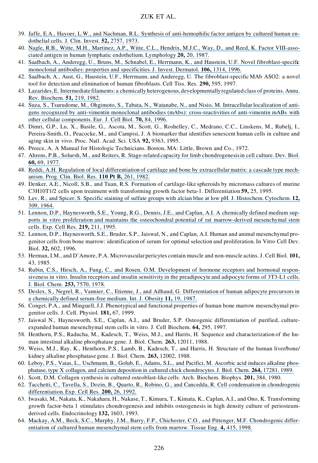- 39. [Jaffe, E.A., Hayoer, L.W., and Nachman, R.L. Synthesis of anti-hemophilic factor antigen by cultured human en](https://www.researchgate.net/publication/18582159_Synthesis_of_Antihemophilic_Factor_Antigen_by_Cultured_Human_Endothelial_Cells?el=1_x_8&enrichId=rgreq-e88b3d7ba40d5fa974991c49436e687c-XXX&enrichSource=Y292ZXJQYWdlOzEyMDMwODM1O0FTOjEwMjU5OTMxMTIzMzAyN0AxNDAxNDcyOTkwMzY4) [dothelial cells. J. Clin. Invest.](https://www.researchgate.net/publication/18582159_Synthesis_of_Antihemophilic_Factor_Antigen_by_Cultured_Human_Endothelial_Cells?el=1_x_8&enrichId=rgreq-e88b3d7ba40d5fa974991c49436e687c-XXX&enrichSource=Y292ZXJQYWdlOzEyMDMwODM1O0FTOjEwMjU5OTMxMTIzMzAyN0AxNDAxNDcyOTkwMzY4) **52,** 2757, 1973.
- 40. [Nagle, R.B., Witte, M.H., Martinez, A.P., Witte, C.L., Hendrix, M.J.C., Way, D., and Reed, K. Factor VIII-asso](https://www.researchgate.net/publication/20044794_Factor_VIII-associated_antigen_in_human_lymphatic_endothelium?el=1_x_8&enrichId=rgreq-e88b3d7ba40d5fa974991c49436e687c-XXX&enrichSource=Y292ZXJQYWdlOzEyMDMwODM1O0FTOjEwMjU5OTMxMTIzMzAyN0AxNDAxNDcyOTkwMzY4)[ciated antigen in human lymphatic endothelium. Lymphology](https://www.researchgate.net/publication/20044794_Factor_VIII-associated_antigen_in_human_lymphatic_endothelium?el=1_x_8&enrichId=rgreq-e88b3d7ba40d5fa974991c49436e687c-XXX&enrichSource=Y292ZXJQYWdlOzEyMDMwODM1O0FTOjEwMjU5OTMxMTIzMzAyN0AxNDAxNDcyOTkwMzY4) **20,** 20, 1987.
- 41. [Saalbach, A., Anderegg, U., Bruns, M., Schnabel, E., Herrmann, K., and Haustein, U.F. Novel fibroblast-specific](https://www.researchgate.net/publication/232775708_Novel_Fibroblast-Specific_Monoclonal_Antibodies_Properties_and_Specificities?el=1_x_8&enrichId=rgreq-e88b3d7ba40d5fa974991c49436e687c-XXX&enrichSource=Y292ZXJQYWdlOzEyMDMwODM1O0FTOjEwMjU5OTMxMTIzMzAyN0AxNDAxNDcyOTkwMzY4) [monoclonal antibodies: properties and specificities. J. Invest. Dermatol.](https://www.researchgate.net/publication/232775708_Novel_Fibroblast-Specific_Monoclonal_Antibodies_Properties_and_Specificities?el=1_x_8&enrichId=rgreq-e88b3d7ba40d5fa974991c49436e687c-XXX&enrichSource=Y292ZXJQYWdlOzEyMDMwODM1O0FTOjEwMjU5OTMxMTIzMzAyN0AxNDAxNDcyOTkwMzY4) **106,** 1314, 1996.
- 42. Saalbach, A., Aust, G., Haustein, U.F., Herrmann, and Anderegg, U. The fibroblast-specific MAb ASO2: a novel tool for detection and elimination of human fibroblasts. Cell Tiss. Res. **290,** 595, 1997.
- 43. [Lazarides, E. Intermediate filaments: a chemically heterogenous, developmentally regulated class of proteins. Annu.](https://www.researchgate.net/publication/17011970_Intermediate_Filaments_A_Chemically_Heterogeneous_Developmentally_Regulated_Class_of_Proteins?el=1_x_8&enrichId=rgreq-e88b3d7ba40d5fa974991c49436e687c-XXX&enrichSource=Y292ZXJQYWdlOzEyMDMwODM1O0FTOjEwMjU5OTMxMTIzMzAyN0AxNDAxNDcyOTkwMzY4) [Rev. Biochem.](https://www.researchgate.net/publication/17011970_Intermediate_Filaments_A_Chemically_Heterogeneous_Developmentally_Regulated_Class_of_Proteins?el=1_x_8&enrichId=rgreq-e88b3d7ba40d5fa974991c49436e687c-XXX&enrichSource=Y292ZXJQYWdlOzEyMDMwODM1O0FTOjEwMjU5OTMxMTIzMzAyN0AxNDAxNDcyOTkwMzY4) **51,** 219, 1982.
- 44. [Suza, S., Tsurudome, M., Ohgimoto, S., Tabata, N., Watanabe, N., and Nisio, M. Intracellular localization of anti](https://www.researchgate.net/publication/14464947_Intracellular_localization_of_antigens_recognized_by_anti-vimentin_monoclonal_antibodies_mAbs_Cross-reactivities_of_anti-vimentin_mAbs_with_other_cellular_components?el=1_x_8&enrichId=rgreq-e88b3d7ba40d5fa974991c49436e687c-XXX&enrichSource=Y292ZXJQYWdlOzEyMDMwODM1O0FTOjEwMjU5OTMxMTIzMzAyN0AxNDAxNDcyOTkwMzY4)[gens recognized by anti-vimentin monoclonal antibodies \(mAbs\): cross-reactivities of anti-vimentin mABs with](https://www.researchgate.net/publication/14464947_Intracellular_localization_of_antigens_recognized_by_anti-vimentin_monoclonal_antibodies_mAbs_Cross-reactivities_of_anti-vimentin_mAbs_with_other_cellular_components?el=1_x_8&enrichId=rgreq-e88b3d7ba40d5fa974991c49436e687c-XXX&enrichSource=Y292ZXJQYWdlOzEyMDMwODM1O0FTOjEwMjU5OTMxMTIzMzAyN0AxNDAxNDcyOTkwMzY4) [other cellular components. Eur. J. Cell Biol.](https://www.researchgate.net/publication/14464947_Intracellular_localization_of_antigens_recognized_by_anti-vimentin_monoclonal_antibodies_mAbs_Cross-reactivities_of_anti-vimentin_mAbs_with_other_cellular_components?el=1_x_8&enrichId=rgreq-e88b3d7ba40d5fa974991c49436e687c-XXX&enrichSource=Y292ZXJQYWdlOzEyMDMwODM1O0FTOjEwMjU5OTMxMTIzMzAyN0AxNDAxNDcyOTkwMzY4) **70,** 84, 1996.
- 45. Dimri, G.P., Lu, X., Basile, G., Ascota, M., Scott, G., Roshelley, C., Medrano, C.C., Linskens, M., Rubelj, I., Pereira-Smith, O., Peacocke, M., and Campisi, J. A biomarker that identifies senescent human cells in culture and aging skin in vivo. Proc. Natl. Acad. Sci. USA **92,** 9363, 1995.
- 46. Preece, A. A Manual for Histologic Technicians. Boston, MA: Little, Brown and Co., 1972.
- 47. [Ahrens, P.B., Solursh, M., and Reiters, R. Stage-related capacity for limb chondrogenesis in cell culture. Dev. Biol.](https://www.researchgate.net/publication/22939196_Stage-related_capacity_for_limb_chondrogenesis_in_culture?el=1_x_8&enrichId=rgreq-e88b3d7ba40d5fa974991c49436e687c-XXX&enrichSource=Y292ZXJQYWdlOzEyMDMwODM1O0FTOjEwMjU5OTMxMTIzMzAyN0AxNDAxNDcyOTkwMzY4) **60,** [69, 1977.](https://www.researchgate.net/publication/22939196_Stage-related_capacity_for_limb_chondrogenesis_in_culture?el=1_x_8&enrichId=rgreq-e88b3d7ba40d5fa974991c49436e687c-XXX&enrichSource=Y292ZXJQYWdlOzEyMDMwODM1O0FTOjEwMjU5OTMxMTIzMzAyN0AxNDAxNDcyOTkwMzY4)
- 48. [Reddi, A.H. Regulation of local differentiation of cartilage and bone by extracellular matrix: a cascade type mech](https://www.researchgate.net/publication/16030655_Regulation_of_local_differentiation_of_cartilage_and_bone_by_extracellular_matrix_a_cascade_type_mechanism?el=1_x_8&enrichId=rgreq-e88b3d7ba40d5fa974991c49436e687c-XXX&enrichSource=Y292ZXJQYWdlOzEyMDMwODM1O0FTOjEwMjU5OTMxMTIzMzAyN0AxNDAxNDcyOTkwMzY4)[anism. Prog. Clin. Biol. Res.](https://www.researchgate.net/publication/16030655_Regulation_of_local_differentiation_of_cartilage_and_bone_by_extracellular_matrix_a_cascade_type_mechanism?el=1_x_8&enrichId=rgreq-e88b3d7ba40d5fa974991c49436e687c-XXX&enrichSource=Y292ZXJQYWdlOzEyMDMwODM1O0FTOjEwMjU5OTMxMTIzMzAyN0AxNDAxNDcyOTkwMzY4) **110 Pt B,** 261, 1982.
- 49. Denker, A.E., Nicoll, S.B., and Tuan, R.S. Formation of cartilage-like spheroids by micromass cultures of murine C3H10T1/2 cells upon treatment with transforming growth factor beta-1. Differentiation **59,** 25, 1995.
- 50. [Lev, R., and Spicer, S. Specific staining of sulfate groups with alcian blue at low pH. J. Histochem. Cytochem.](https://www.researchgate.net/publication/9397552_Specific_Staining_of_Sulphate_Groups_with_Alcian_Blue_at_Low_Ph?el=1_x_8&enrichId=rgreq-e88b3d7ba40d5fa974991c49436e687c-XXX&enrichSource=Y292ZXJQYWdlOzEyMDMwODM1O0FTOjEwMjU5OTMxMTIzMzAyN0AxNDAxNDcyOTkwMzY4) **12,** [309, 1964.](https://www.researchgate.net/publication/9397552_Specific_Staining_of_Sulphate_Groups_with_Alcian_Blue_at_Low_Ph?el=1_x_8&enrichId=rgreq-e88b3d7ba40d5fa974991c49436e687c-XXX&enrichSource=Y292ZXJQYWdlOzEyMDMwODM1O0FTOjEwMjU5OTMxMTIzMzAyN0AxNDAxNDcyOTkwMzY4)
- 51. [Lennon, D.P., Haynesworth, S.E., Young, R.G., Dennis, J.E., and Caplan, A.I. A chemically defined medium sup](https://www.researchgate.net/publication/222989283_A_Chemically_Defined_Medium_Supports_in_Vitro_Proliferation_and_Maintains_the_Osteochondral_Potential_of_Rat_Marrow-Derived_Mesenchymal_Stem_Cells?el=1_x_8&enrichId=rgreq-e88b3d7ba40d5fa974991c49436e687c-XXX&enrichSource=Y292ZXJQYWdlOzEyMDMwODM1O0FTOjEwMjU5OTMxMTIzMzAyN0AxNDAxNDcyOTkwMzY4)[ports in vitro proliferation and maintains the osteochondral potential of rat marrow-derived mesenchymal stem](https://www.researchgate.net/publication/222989283_A_Chemically_Defined_Medium_Supports_in_Vitro_Proliferation_and_Maintains_the_Osteochondral_Potential_of_Rat_Marrow-Derived_Mesenchymal_Stem_Cells?el=1_x_8&enrichId=rgreq-e88b3d7ba40d5fa974991c49436e687c-XXX&enrichSource=Y292ZXJQYWdlOzEyMDMwODM1O0FTOjEwMjU5OTMxMTIzMzAyN0AxNDAxNDcyOTkwMzY4) [cells. Exp. Cell Res.](https://www.researchgate.net/publication/222989283_A_Chemically_Defined_Medium_Supports_in_Vitro_Proliferation_and_Maintains_the_Osteochondral_Potential_of_Rat_Marrow-Derived_Mesenchymal_Stem_Cells?el=1_x_8&enrichId=rgreq-e88b3d7ba40d5fa974991c49436e687c-XXX&enrichSource=Y292ZXJQYWdlOzEyMDMwODM1O0FTOjEwMjU5OTMxMTIzMzAyN0AxNDAxNDcyOTkwMzY4) **219,** 211, 1995.
- 52. Lennon, D.P., Haynesworth, S.E., Bruder, S.P., Jaiswal, N., and Caplan, A.I. Human and animal mesenchymal progenitor cells from bone marrow: identification of serum for optimal selection and proliferation. In Vitro Cell Dev. Biol. **32,** 602, 1996.
- 53. Herman, I.M., and D'Amore, P.A. Microvascular pericytes contain muscle and non-muscle actins. J. Cell Biol. **101,** 43, 1985.
- 54. [Rubin, C.S., Hirsch, A., Fung, C., and Rosen, O.M. Development of hormone receptors and hormonal respon](https://www.researchgate.net/publication/23053932_Development_of_hormone_receptors_and_hormonal_responsiveness_in_vitro_Insulin_receptors_and_insulin_sensitivity_in_the_preadipocyte_and_adipocyte_forms_of_3T3-L1_cells?el=1_x_8&enrichId=rgreq-e88b3d7ba40d5fa974991c49436e687c-XXX&enrichSource=Y292ZXJQYWdlOzEyMDMwODM1O0FTOjEwMjU5OTMxMTIzMzAyN0AxNDAxNDcyOTkwMzY4)[siveness in vitro. Insulin receptors and insulin sensitivity in the preadipocyte and adipocyte forms of 3T3-L1 cells.](https://www.researchgate.net/publication/23053932_Development_of_hormone_receptors_and_hormonal_responsiveness_in_vitro_Insulin_receptors_and_insulin_sensitivity_in_the_preadipocyte_and_adipocyte_forms_of_3T3-L1_cells?el=1_x_8&enrichId=rgreq-e88b3d7ba40d5fa974991c49436e687c-XXX&enrichSource=Y292ZXJQYWdlOzEyMDMwODM1O0FTOjEwMjU5OTMxMTIzMzAyN0AxNDAxNDcyOTkwMzY4) [J. Biol. Chem.](https://www.researchgate.net/publication/23053932_Development_of_hormone_receptors_and_hormonal_responsiveness_in_vitro_Insulin_receptors_and_insulin_sensitivity_in_the_preadipocyte_and_adipocyte_forms_of_3T3-L1_cells?el=1_x_8&enrichId=rgreq-e88b3d7ba40d5fa974991c49436e687c-XXX&enrichSource=Y292ZXJQYWdlOzEyMDMwODM1O0FTOjEwMjU5OTMxMTIzMzAyN0AxNDAxNDcyOTkwMzY4) **253,** 7570, 1978.
- 55. [Deslex, S., Negrel, R., Vannier, C., Etienne, J., and Ailhaud, G. Differentiation of human adipocyte precursors in](https://www.researchgate.net/publication/19590561_Differentiation_of_human_adipocyte_precursors_in_a_chemically_defined_serum-free_medium?el=1_x_8&enrichId=rgreq-e88b3d7ba40d5fa974991c49436e687c-XXX&enrichSource=Y292ZXJQYWdlOzEyMDMwODM1O0FTOjEwMjU5OTMxMTIzMzAyN0AxNDAxNDcyOTkwMzY4) [a chemically defined serum-free medium. Int. J. Obesity](https://www.researchgate.net/publication/19590561_Differentiation_of_human_adipocyte_precursors_in_a_chemically_defined_serum-free_medium?el=1_x_8&enrichId=rgreq-e88b3d7ba40d5fa974991c49436e687c-XXX&enrichSource=Y292ZXJQYWdlOzEyMDMwODM1O0FTOjEwMjU5OTMxMTIzMzAyN0AxNDAxNDcyOTkwMzY4) **11,** 19, 1987.
- 56. Conget, P.A., and Minguell, J.J. Phenotypical and functional properties of human bone marrow mesenchymal progenitor cells. J. Cell. Physiol. **181,** 67, 1999.
- 57. Jaiswal N., Haynesworth, S.E., Caplan, A.I., and Bruder, S.P. Osteogenic differentiation of purified, cultureexpanded human mesenchymal stem cells in vitro. J. Cell Biochem. **64,** 295, 1997.
- 58. Henthorn, P.S., Raducha, M., Kadesch, T., Weiss, M.J., and Harris, H. Sequence and characterization of the hu man intestinal alkaline phosphatase gene. J. Biol. Chem. **263,** 12011, 1988.
- 59. Weiss, M.J., Ray, K., Henthorn, P.S., Lamb, B., Kadesch, T., and Harris, H. Structure of the human liver/bone/ kidney alkaline phosphatase gene. J. Biol. Chem. **263,** 12002, 1988.
- 60. [Leboy, P.S., Vaias, L., Uschmann, B., Golub, E., Adams, S.L., and Pacifici, M. Ascorbic acid induces alkaline phos](https://www.researchgate.net/publication/20362100_Ascorbic_acid_induces_alkaline_phosphatase_type_X_collagen_and_calcium_deposition_in_cultured_chick_chondrocytes?el=1_x_8&enrichId=rgreq-e88b3d7ba40d5fa974991c49436e687c-XXX&enrichSource=Y292ZXJQYWdlOzEyMDMwODM1O0FTOjEwMjU5OTMxMTIzMzAyN0AxNDAxNDcyOTkwMzY4)[phatase, type X collagen, and calcium deposition in cultured chick chondrocytes. J. Biol. Chem.](https://www.researchgate.net/publication/20362100_Ascorbic_acid_induces_alkaline_phosphatase_type_X_collagen_and_calcium_deposition_in_cultured_chick_chondrocytes?el=1_x_8&enrichId=rgreq-e88b3d7ba40d5fa974991c49436e687c-XXX&enrichSource=Y292ZXJQYWdlOzEyMDMwODM1O0FTOjEwMjU5OTMxMTIzMzAyN0AxNDAxNDcyOTkwMzY4) **264,** 17281, 1989.
- 61. Scott, D.M. Collagen synthesis in cultured osteoblast-like cells. Arch. Biochem. Biophys. **201,** 384, 1980.
- 62. [Tacchetti, C., Tavella, S., Dozin, B., Quarto, R., Robino, G., and Cancedda, R. Cell condensation in chondrogenic](https://www.researchgate.net/publication/21591218_Cell_Condensation_in_Chondrogenic_Differentiation?el=1_x_8&enrichId=rgreq-e88b3d7ba40d5fa974991c49436e687c-XXX&enrichSource=Y292ZXJQYWdlOzEyMDMwODM1O0FTOjEwMjU5OTMxMTIzMzAyN0AxNDAxNDcyOTkwMzY4) [differentiation. Exp. Cell Res.](https://www.researchgate.net/publication/21591218_Cell_Condensation_in_Chondrogenic_Differentiation?el=1_x_8&enrichId=rgreq-e88b3d7ba40d5fa974991c49436e687c-XXX&enrichSource=Y292ZXJQYWdlOzEyMDMwODM1O0FTOjEwMjU5OTMxMTIzMzAyN0AxNDAxNDcyOTkwMzY4) **200,** 26, 1992.
- 63. Iwasaki, M., Nakata, K., Nakahara, H., Nakase, T., Kimura, T., Kimata, K., Caplan, A.I., and Ono, K. Transforming growth factor-beta 1 stimulates chondrogenesis and inhibits osteogenesis in high density culture of periosteumderived cells. Endocrinology **132,** 1603, 1993.
- 64. [Mackay, A.M., Beck, S.C., Murphy, J.M., Barry, F.P., Chichester, C.O., and Pittenger, M.F. Chondrogenic differ](https://www.researchgate.net/publication/13373313_Chondrogenic_Differentiation_of_Cultured_Human_Mesenchymal_Stem_Cells_from_Marrow?el=1_x_8&enrichId=rgreq-e88b3d7ba40d5fa974991c49436e687c-XXX&enrichSource=Y292ZXJQYWdlOzEyMDMwODM1O0FTOjEwMjU5OTMxMTIzMzAyN0AxNDAxNDcyOTkwMzY4)[entiation of cultured human mesenchymal stem cells from marrow. Tissue Eng.](https://www.researchgate.net/publication/13373313_Chondrogenic_Differentiation_of_Cultured_Human_Mesenchymal_Stem_Cells_from_Marrow?el=1_x_8&enrichId=rgreq-e88b3d7ba40d5fa974991c49436e687c-XXX&enrichSource=Y292ZXJQYWdlOzEyMDMwODM1O0FTOjEwMjU5OTMxMTIzMzAyN0AxNDAxNDcyOTkwMzY4) **4,** 415, 1998.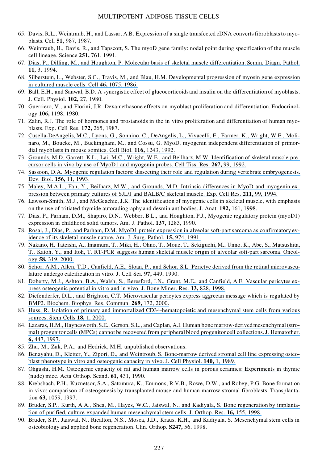- 65. Davis, R.L., Weintraub, H., and Lassar, A.B. Expression of a single transfected cDNA converts fibroblasts to myoblasts. Cell **51,** 987, 1987.
- 66. Weintraub, H., Davis, R., and Tapscott, S. The myoD gene family: nodal point during specification of the muscle cell lineage. Science **251,** 761, 1991.
- 67. [Dias, P., Dilling, M., and Houghton, P. Molecular basis of skeletal muscle differentiation. Semin. Diagn. Pathol.](https://www.researchgate.net/publication/14995912_The_molecular_basis_of_skeletal_muscle_differentiation?el=1_x_8&enrichId=rgreq-e88b3d7ba40d5fa974991c49436e687c-XXX&enrichSource=Y292ZXJQYWdlOzEyMDMwODM1O0FTOjEwMjU5OTMxMTIzMzAyN0AxNDAxNDcyOTkwMzY4) **11,** [3, 1994.](https://www.researchgate.net/publication/14995912_The_molecular_basis_of_skeletal_muscle_differentiation?el=1_x_8&enrichId=rgreq-e88b3d7ba40d5fa974991c49436e687c-XXX&enrichSource=Y292ZXJQYWdlOzEyMDMwODM1O0FTOjEwMjU5OTMxMTIzMzAyN0AxNDAxNDcyOTkwMzY4)
- 68. [Silberstein, L., Webster, S.G., Travis, M., and Blau, H.M. Developmental progression of myosin gene expression](https://www.researchgate.net/publication/19630420_Developmental_progression_of_myosin_gene_expression_in_cultured_muscle_cells?el=1_x_8&enrichId=rgreq-e88b3d7ba40d5fa974991c49436e687c-XXX&enrichSource=Y292ZXJQYWdlOzEyMDMwODM1O0FTOjEwMjU5OTMxMTIzMzAyN0AxNDAxNDcyOTkwMzY4) [in cultured muscle cells. Cell](https://www.researchgate.net/publication/19630420_Developmental_progression_of_myosin_gene_expression_in_cultured_muscle_cells?el=1_x_8&enrichId=rgreq-e88b3d7ba40d5fa974991c49436e687c-XXX&enrichSource=Y292ZXJQYWdlOzEyMDMwODM1O0FTOjEwMjU5OTMxMTIzMzAyN0AxNDAxNDcyOTkwMzY4) **46,** 1075, 1986.
- 69. Ball, E.H., and Sanwal, B.D. A synergistic effect of glucocorticoids and insulin on the differentiation of myoblasts. J. Cell. Physiol. **102,** 27, 1980.
- 70. Guerriero, V., and Florini, J.R. Dexamethasone effects on myoblast proliferation and differentiation. Endocrinology **106,** 1198, 1980.
- 71. Zalin, R.J. The role of hormones and prostanoids in the in vitro proliferation and differentiation of human myoblasts. Exp. Cell Res. **172,** 265, 1987.
- 72. [Cusella-DeAngelis, M.C., Lyons, G., Sonnino, C., DeAngelis, L., Vivacelli, E., Farmer, K., Wright, W.E., Moli](https://www.researchgate.net/publication/21844702_MyoD_myogenin_independent_differentiation_of_primordial_myoblasts_in_mouse_somites?el=1_x_8&enrichId=rgreq-e88b3d7ba40d5fa974991c49436e687c-XXX&enrichSource=Y292ZXJQYWdlOzEyMDMwODM1O0FTOjEwMjU5OTMxMTIzMzAyN0AxNDAxNDcyOTkwMzY4)[naro, M., Boucke, M., Buckingham, M., and Cossu, G. MyoD, myogenin independent differentiation of primor](https://www.researchgate.net/publication/21844702_MyoD_myogenin_independent_differentiation_of_primordial_myoblasts_in_mouse_somites?el=1_x_8&enrichId=rgreq-e88b3d7ba40d5fa974991c49436e687c-XXX&enrichSource=Y292ZXJQYWdlOzEyMDMwODM1O0FTOjEwMjU5OTMxMTIzMzAyN0AxNDAxNDcyOTkwMzY4)[dial myoblasts in mouse somites. Cell Biol.](https://www.researchgate.net/publication/21844702_MyoD_myogenin_independent_differentiation_of_primordial_myoblasts_in_mouse_somites?el=1_x_8&enrichId=rgreq-e88b3d7ba40d5fa974991c49436e687c-XXX&enrichSource=Y292ZXJQYWdlOzEyMDMwODM1O0FTOjEwMjU5OTMxMTIzMzAyN0AxNDAxNDcyOTkwMzY4) **116,** 1243, 1992.
- 73. [Grounds, M.D. Garrett, K.L., Lai, M.C., Wright, W.E., and Beilharz, M.W. Identification of skeletal muscle pre](https://www.researchgate.net/publication/21846149_Identification_of_skeletal_muscle_precursor_cells_in_vivo_by_use_of_MyoD1_and_Myogenin_probes?el=1_x_8&enrichId=rgreq-e88b3d7ba40d5fa974991c49436e687c-XXX&enrichSource=Y292ZXJQYWdlOzEyMDMwODM1O0FTOjEwMjU5OTMxMTIzMzAyN0AxNDAxNDcyOTkwMzY4) [cursor cells in vivo by use of MyoD1 and myogenin probes. Cell Tiss. Res.](https://www.researchgate.net/publication/21846149_Identification_of_skeletal_muscle_precursor_cells_in_vivo_by_use_of_MyoD1_and_Myogenin_probes?el=1_x_8&enrichId=rgreq-e88b3d7ba40d5fa974991c49436e687c-XXX&enrichSource=Y292ZXJQYWdlOzEyMDMwODM1O0FTOjEwMjU5OTMxMTIzMzAyN0AxNDAxNDcyOTkwMzY4) **267,** 99, 1992.
- 74. [Sassoon, D.A. Myogenic regulation factors: dissecting their role and regulation during vertebrate embryogenesis.](https://www.researchgate.net/publication/14750674_Myogenic_Regulatory_Factors_Dissecting_Their_Role_and_Regulation_during_Vertebrate_Embryogenesis?el=1_x_8&enrichId=rgreq-e88b3d7ba40d5fa974991c49436e687c-XXX&enrichSource=Y292ZXJQYWdlOzEyMDMwODM1O0FTOjEwMjU5OTMxMTIzMzAyN0AxNDAxNDcyOTkwMzY4) [Dev. Biol.](https://www.researchgate.net/publication/14750674_Myogenic_Regulatory_Factors_Dissecting_Their_Role_and_Regulation_during_Vertebrate_Embryogenesis?el=1_x_8&enrichId=rgreq-e88b3d7ba40d5fa974991c49436e687c-XXX&enrichSource=Y292ZXJQYWdlOzEyMDMwODM1O0FTOjEwMjU5OTMxMTIzMzAyN0AxNDAxNDcyOTkwMzY4) **156,** 11, 1993.
- 75. [Maley, M.A.L., Fan, Y., Beilharz, M.W., and Grounds, M.D. Intrinsic differences in MyoD and myogenin ex](https://www.researchgate.net/publication/15074417_Intrinsic_Differences_in_MyoD_and_Myogenin_Expression_between_Primary_Cultures_of_SJLJ_and_BALBC_Skeletal_Muscle?el=1_x_8&enrichId=rgreq-e88b3d7ba40d5fa974991c49436e687c-XXX&enrichSource=Y292ZXJQYWdlOzEyMDMwODM1O0FTOjEwMjU5OTMxMTIzMzAyN0AxNDAxNDcyOTkwMzY4) [pression between primary cultures of SJL/J and BALB/C skeletal muscle. Exp. Cell Res.](https://www.researchgate.net/publication/15074417_Intrinsic_Differences_in_MyoD_and_Myogenin_Expression_between_Primary_Cultures_of_SJLJ_and_BALBC_Skeletal_Muscle?el=1_x_8&enrichId=rgreq-e88b3d7ba40d5fa974991c49436e687c-XXX&enrichSource=Y292ZXJQYWdlOzEyMDMwODM1O0FTOjEwMjU5OTMxMTIzMzAyN0AxNDAxNDcyOTkwMzY4) **211,** 99, 1994.
- 76. Lawson-Smith, M.J., and McGeachie, J.K. The identification of myogenic cells in skeletal muscle, with emphasis on the use of tritiated thymide autoradiography and desmin antibodies. J. Anat. **192,** 161, 1998.
- 77. [Dias, P., Parham, D.M., Shapiro, D.N., Webber, B.L., and Houghton, P.J., Myogenic regulatory protein \(myoD1\)](https://www.researchgate.net/publication/20894693_Myogenic_regulatory_protein_Myo_D1_expression_in_childhood_solid_tumors?el=1_x_8&enrichId=rgreq-e88b3d7ba40d5fa974991c49436e687c-XXX&enrichSource=Y292ZXJQYWdlOzEyMDMwODM1O0FTOjEwMjU5OTMxMTIzMzAyN0AxNDAxNDcyOTkwMzY4) [expression in childhood solid tumors. Am. J. Pathol.](https://www.researchgate.net/publication/20894693_Myogenic_regulatory_protein_Myo_D1_expression_in_childhood_solid_tumors?el=1_x_8&enrichId=rgreq-e88b3d7ba40d5fa974991c49436e687c-XXX&enrichSource=Y292ZXJQYWdlOzEyMDMwODM1O0FTOjEwMjU5OTMxMTIzMzAyN0AxNDAxNDcyOTkwMzY4) **137,** 1283, 1990.
- 78. [Rosai, J., Dias, P., and Parham, D.M. MyoD1 protein expression in alveolar soft-part sarcoma as confirmatory ev](https://www.researchgate.net/publication/21498538_MyoDl_Protein_Expression_in_Alveolar_Soft_Part_Sarcoma_As_Confirmatory_Evidence_of_Its_Skeletal_Muscle_Nature?el=1_x_8&enrichId=rgreq-e88b3d7ba40d5fa974991c49436e687c-XXX&enrichSource=Y292ZXJQYWdlOzEyMDMwODM1O0FTOjEwMjU5OTMxMTIzMzAyN0AxNDAxNDcyOTkwMzY4)[idence of its skeletal muscle nature. Am. J. Surg. Pathol.](https://www.researchgate.net/publication/21498538_MyoDl_Protein_Expression_in_Alveolar_Soft_Part_Sarcoma_As_Confirmatory_Evidence_of_Its_Skeletal_Muscle_Nature?el=1_x_8&enrichId=rgreq-e88b3d7ba40d5fa974991c49436e687c-XXX&enrichSource=Y292ZXJQYWdlOzEyMDMwODM1O0FTOjEwMjU5OTMxMTIzMzAyN0AxNDAxNDcyOTkwMzY4) **15,** 974, 1991.
- 79. [Nakano, H. Tateishi, A., Imamura, T., Miki, H., Ohno, T., Moue, T., Sekiguchi, M., Unno, K., Abe, S., Matsushita,](https://www.researchgate.net/publication/12478789_RT-PCR_Suggests_Human_Skeletal_Muscle_Origin_of_Alveolar_Soft-Part_Sarcoma?el=1_x_8&enrichId=rgreq-e88b3d7ba40d5fa974991c49436e687c-XXX&enrichSource=Y292ZXJQYWdlOzEyMDMwODM1O0FTOjEwMjU5OTMxMTIzMzAyN0AxNDAxNDcyOTkwMzY4) [T., Katoh, Y., and Itoh, T. RT-PCR suggests human skeletal muscle origin of alveolar soft-part sarcoma. Oncol](https://www.researchgate.net/publication/12478789_RT-PCR_Suggests_Human_Skeletal_Muscle_Origin_of_Alveolar_Soft-Part_Sarcoma?el=1_x_8&enrichId=rgreq-e88b3d7ba40d5fa974991c49436e687c-XXX&enrichSource=Y292ZXJQYWdlOzEyMDMwODM1O0FTOjEwMjU5OTMxMTIzMzAyN0AxNDAxNDcyOTkwMzY4)ogy **58,** [319, 2000.](https://www.researchgate.net/publication/12478789_RT-PCR_Suggests_Human_Skeletal_Muscle_Origin_of_Alveolar_Soft-Part_Sarcoma?el=1_x_8&enrichId=rgreq-e88b3d7ba40d5fa974991c49436e687c-XXX&enrichSource=Y292ZXJQYWdlOzEyMDMwODM1O0FTOjEwMjU5OTMxMTIzMzAyN0AxNDAxNDcyOTkwMzY4)
- 80. [Schor, A.M., Allen, T.D., Canfield, A.E., Sloan, P., and Schor, S.L. Perictye derived from the retinal microvascu](https://www.researchgate.net/publication/21082295_Pericytes_derived_from_retinal_microvasculature_undergo_calcification_in_vitro?el=1_x_8&enrichId=rgreq-e88b3d7ba40d5fa974991c49436e687c-XXX&enrichSource=Y292ZXJQYWdlOzEyMDMwODM1O0FTOjEwMjU5OTMxMTIzMzAyN0AxNDAxNDcyOTkwMzY4)[lature undergo calcification in vitro. J. Cell Sci.](https://www.researchgate.net/publication/21082295_Pericytes_derived_from_retinal_microvasculature_undergo_calcification_in_vitro?el=1_x_8&enrichId=rgreq-e88b3d7ba40d5fa974991c49436e687c-XXX&enrichSource=Y292ZXJQYWdlOzEyMDMwODM1O0FTOjEwMjU5OTMxMTIzMzAyN0AxNDAxNDcyOTkwMzY4) **97,** 449, 1990.
- 81. [Doherty, M.J., Ashton, B.A., Walsh, S., Beresford, J.N., Grant, M.E., and Canfield, A.E. Vascular pericytes ex](https://www.researchgate.net/publication/13673079_Vascular_Pericytes_Express_Osteogenic_Potential_In_Vitro_and_In_Vivo?el=1_x_8&enrichId=rgreq-e88b3d7ba40d5fa974991c49436e687c-XXX&enrichSource=Y292ZXJQYWdlOzEyMDMwODM1O0FTOjEwMjU5OTMxMTIzMzAyN0AxNDAxNDcyOTkwMzY4) [press osteogenic potential in vitro and in vivo. J. Bone Miner. Res.](https://www.researchgate.net/publication/13673079_Vascular_Pericytes_Express_Osteogenic_Potential_In_Vitro_and_In_Vivo?el=1_x_8&enrichId=rgreq-e88b3d7ba40d5fa974991c49436e687c-XXX&enrichSource=Y292ZXJQYWdlOzEyMDMwODM1O0FTOjEwMjU5OTMxMTIzMzAyN0AxNDAxNDcyOTkwMzY4) **13,** 828, 1998.
- 82. [Diefenderfer, D.L., and Brighton, C.T. Microvascular pericytes express aggrecan message which is regulated by](https://www.researchgate.net/publication/12620153_Microvascular_Pericytes_Express_Aggrecan_Message_Which_Is_Regulated_by_BMP-2?el=1_x_8&enrichId=rgreq-e88b3d7ba40d5fa974991c49436e687c-XXX&enrichSource=Y292ZXJQYWdlOzEyMDMwODM1O0FTOjEwMjU5OTMxMTIzMzAyN0AxNDAxNDcyOTkwMzY4) [BMP2. Biochem. Biophys. Res. Commun.](https://www.researchgate.net/publication/12620153_Microvascular_Pericytes_Express_Aggrecan_Message_Which_Is_Regulated_by_BMP-2?el=1_x_8&enrichId=rgreq-e88b3d7ba40d5fa974991c49436e687c-XXX&enrichSource=Y292ZXJQYWdlOzEyMDMwODM1O0FTOjEwMjU5OTMxMTIzMzAyN0AxNDAxNDcyOTkwMzY4) **269,** 172, 2000.
- 83. [Huss, R. Isolation of primary and immortalized CD34-hematopoietic and mesenchymal stem cells from various](https://www.researchgate.net/publication/12652448_Isolation_of_Primary_and_Immortalized_CD34_-_Hematopoietic_and_Mesenchymal_Stem_Cells_from_Various_Sources?el=1_x_8&enrichId=rgreq-e88b3d7ba40d5fa974991c49436e687c-XXX&enrichSource=Y292ZXJQYWdlOzEyMDMwODM1O0FTOjEwMjU5OTMxMTIzMzAyN0AxNDAxNDcyOTkwMzY4) [sources. Stem Cells](https://www.researchgate.net/publication/12652448_Isolation_of_Primary_and_Immortalized_CD34_-_Hematopoietic_and_Mesenchymal_Stem_Cells_from_Various_Sources?el=1_x_8&enrichId=rgreq-e88b3d7ba40d5fa974991c49436e687c-XXX&enrichSource=Y292ZXJQYWdlOzEyMDMwODM1O0FTOjEwMjU5OTMxMTIzMzAyN0AxNDAxNDcyOTkwMzY4) **18,** 1, 2000.
- 84. [Lazaras, H.M., Haynesworth, S.E., Gerson, S.L., and Caplan, A.I. Human bone marrow-derived mesenchymal \(stro](https://www.researchgate.net/publication/13862061_Human_bone_marrow-derived_mesenchymal_Stromal_progenitor_cells_MPCs_cannot_be_recovered_from_peripheral_blood_progenitor_cell_collections?el=1_x_8&enrichId=rgreq-e88b3d7ba40d5fa974991c49436e687c-XXX&enrichSource=Y292ZXJQYWdlOzEyMDMwODM1O0FTOjEwMjU5OTMxMTIzMzAyN0AxNDAxNDcyOTkwMzY4)[mal\) progenitor cells \(MPCs\) cannot be recovered from peripheral blood progenitor cell collections. J. Hematother.](https://www.researchgate.net/publication/13862061_Human_bone_marrow-derived_mesenchymal_Stromal_progenitor_cells_MPCs_cannot_be_recovered_from_peripheral_blood_progenitor_cell_collections?el=1_x_8&enrichId=rgreq-e88b3d7ba40d5fa974991c49436e687c-XXX&enrichSource=Y292ZXJQYWdlOzEyMDMwODM1O0FTOjEwMjU5OTMxMTIzMzAyN0AxNDAxNDcyOTkwMzY4) **6,** [447, 1997.](https://www.researchgate.net/publication/13862061_Human_bone_marrow-derived_mesenchymal_Stromal_progenitor_cells_MPCs_cannot_be_recovered_from_peripheral_blood_progenitor_cell_collections?el=1_x_8&enrichId=rgreq-e88b3d7ba40d5fa974991c49436e687c-XXX&enrichSource=Y292ZXJQYWdlOzEyMDMwODM1O0FTOjEwMjU5OTMxMTIzMzAyN0AxNDAxNDcyOTkwMzY4)
- 85. Zhu, M., Zuk, P.A., and Hedrick, M.H. unpublished observations.
- 86. [Benayahu, D., Kletter, Y., Zipori, D., and Weintroub, S. Bone-marrow derived stromal cell line expressing osteo](https://www.researchgate.net/publication/20610765_Bone_marrow-derived_stromal_cell_line_expressing_osteoblast_phenotype_in_vitro_and_osteogenic_capacity_in_vivo?el=1_x_8&enrichId=rgreq-e88b3d7ba40d5fa974991c49436e687c-XXX&enrichSource=Y292ZXJQYWdlOzEyMDMwODM1O0FTOjEwMjU5OTMxMTIzMzAyN0AxNDAxNDcyOTkwMzY4)[blast phenotype in vitro and osteogenic capacity in vivo. J. Cell Physiol.](https://www.researchgate.net/publication/20610765_Bone_marrow-derived_stromal_cell_line_expressing_osteoblast_phenotype_in_vitro_and_osteogenic_capacity_in_vivo?el=1_x_8&enrichId=rgreq-e88b3d7ba40d5fa974991c49436e687c-XXX&enrichSource=Y292ZXJQYWdlOzEyMDMwODM1O0FTOjEwMjU5OTMxMTIzMzAyN0AxNDAxNDcyOTkwMzY4) **140,** 1, 1989.
- 87. [Ohgushi, H.M. Osteogenic capacity of rat and human marrow cells in porous ceramics: Experiments in thymic](https://www.researchgate.net/publication/20983389_Osteogenic_capacity_of_rat_and_human_marrow_cells_in_porous_ceramics_Experiments_in_athymic_nude_mice?el=1_x_8&enrichId=rgreq-e88b3d7ba40d5fa974991c49436e687c-XXX&enrichSource=Y292ZXJQYWdlOzEyMDMwODM1O0FTOjEwMjU5OTMxMTIzMzAyN0AxNDAxNDcyOTkwMzY4) [\(nude\) mice. Acta Orthop. Scand.](https://www.researchgate.net/publication/20983389_Osteogenic_capacity_of_rat_and_human_marrow_cells_in_porous_ceramics_Experiments_in_athymic_nude_mice?el=1_x_8&enrichId=rgreq-e88b3d7ba40d5fa974991c49436e687c-XXX&enrichSource=Y292ZXJQYWdlOzEyMDMwODM1O0FTOjEwMjU5OTMxMTIzMzAyN0AxNDAxNDcyOTkwMzY4) **61,** 431, 1990.
- 88. Krebsbach, P.H., Kuznetsor, S.A., Satomura, K., Emmons, R.V.B., Rowe, D.W., and Robey, P.G. Bone formation in vivo: comparison of osteogenesis by transplanted mouse and human marrow stromal fibroblasts. Transplantation **63,** 1059, 1997.
- 89. [Bruder, S.P., Kurth, A.A., Shea, M., Hayes, W.C., Jaiswal, N., and Kadiyala, S. Bone regeneration by implanta](https://www.researchgate.net/publication/13662391_Bone_regeneration_by_implantation_of_purified_culture-expanded_human_mesenchymal_stem_cells?el=1_x_8&enrichId=rgreq-e88b3d7ba40d5fa974991c49436e687c-XXX&enrichSource=Y292ZXJQYWdlOzEyMDMwODM1O0FTOjEwMjU5OTMxMTIzMzAyN0AxNDAxNDcyOTkwMzY4)[tion of purified, culture-expanded human mesenchymal stem cells. J. Orthop. Res.](https://www.researchgate.net/publication/13662391_Bone_regeneration_by_implantation_of_purified_culture-expanded_human_mesenchymal_stem_cells?el=1_x_8&enrichId=rgreq-e88b3d7ba40d5fa974991c49436e687c-XXX&enrichSource=Y292ZXJQYWdlOzEyMDMwODM1O0FTOjEwMjU5OTMxMTIzMzAyN0AxNDAxNDcyOTkwMzY4) **16,** 155, 1998.
- 90. Bruder, S.P., Jaiswal, N., Ricalton, N.S., Mosca, J.D., Kraus, K.H., and Kadiyala, S. Mesenchymal stem cells in osteobiology and applied bone regeneration. Clin. Orthop. **S247,** 56, 1998.